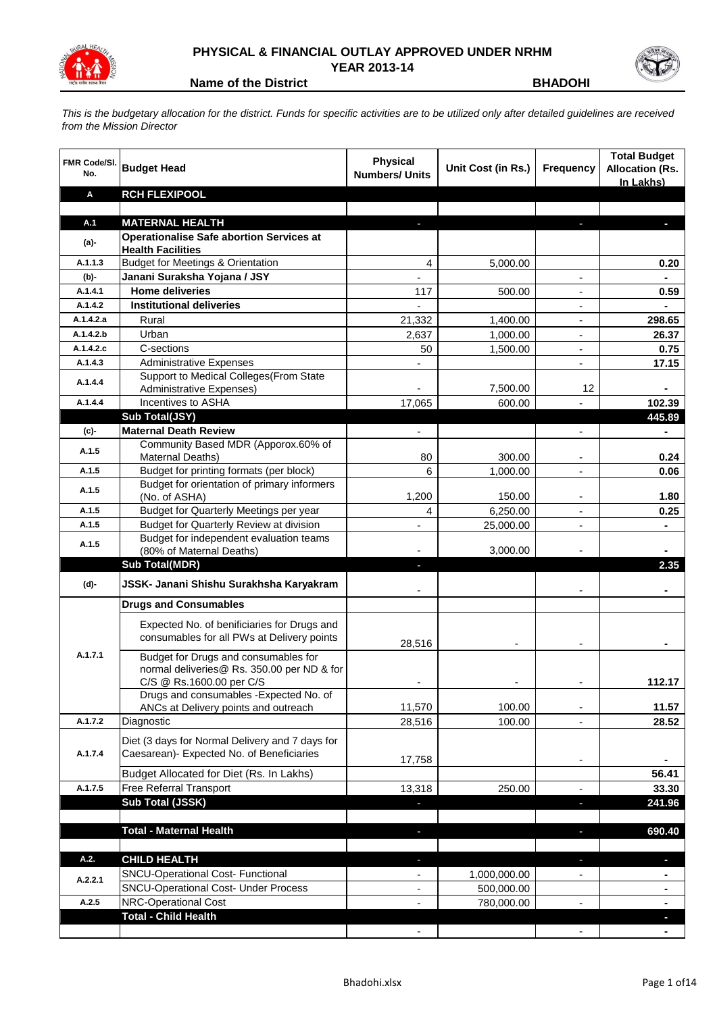

## **PHYSICAL & FINANCIAL OUTLAY APPROVED UNDER NRHM YEAR 2013-14**

**Name of the District BHADOHI** 

*This is the budgetary allocation for the district. Funds for specific activities are to be utilized only after detailed guidelines are received from the Mission Director*

| <b>FMR Code/SI.</b><br>No. | <b>Budget Head</b>                                                                                             | <b>Physical</b><br><b>Numbers/ Units</b> | Unit Cost (in Rs.) | <b>Frequency</b>         | <b>Total Budget</b><br><b>Allocation (Rs.</b><br>In Lakhs) |
|----------------------------|----------------------------------------------------------------------------------------------------------------|------------------------------------------|--------------------|--------------------------|------------------------------------------------------------|
| Α                          | <b>RCH FLEXIPOOL</b>                                                                                           |                                          |                    |                          |                                                            |
|                            |                                                                                                                |                                          |                    |                          |                                                            |
| A.1                        | <b>MATERNAL HEALTH</b>                                                                                         |                                          |                    |                          |                                                            |
| (a)-                       | <b>Operationalise Safe abortion Services at</b>                                                                |                                          |                    |                          |                                                            |
|                            | <b>Health Facilities</b>                                                                                       |                                          |                    |                          |                                                            |
| A.1.1.3                    | <b>Budget for Meetings &amp; Orientation</b>                                                                   | $\overline{4}$                           | 5,000.00           |                          | 0.20                                                       |
| (b)-<br>A.1.4.1            | Janani Suraksha Yojana / JSY<br><b>Home deliveries</b>                                                         | $\blacksquare$                           |                    | $\overline{\phantom{a}}$ |                                                            |
| A.1.4.2                    | <b>Institutional deliveries</b>                                                                                | 117                                      | 500.00             |                          | 0.59                                                       |
| A.1.4.2.a                  | Rural                                                                                                          | 21,332                                   | 1,400.00           | $\blacksquare$           | 298.65                                                     |
| A.1.4.2.b                  | Urban                                                                                                          | 2,637                                    | 1,000.00           | $\overline{\phantom{a}}$ | 26.37                                                      |
| A.1.4.2.c                  | C-sections                                                                                                     | 50                                       | 1,500.00           | $\blacksquare$           | 0.75                                                       |
| A.1.4.3                    | <b>Administrative Expenses</b>                                                                                 |                                          |                    | $\blacksquare$           | 17.15                                                      |
|                            | Support to Medical Colleges (From State                                                                        |                                          |                    |                          |                                                            |
| A.1.4.4                    | Administrative Expenses)                                                                                       |                                          | 7,500.00           | 12                       |                                                            |
| A.1.4.4                    | Incentives to ASHA                                                                                             | 17,065                                   | 600.00             |                          | 102.39                                                     |
|                            | Sub Total(JSY)                                                                                                 |                                          |                    |                          | 445.89                                                     |
| (c)                        | <b>Maternal Death Review</b>                                                                                   |                                          |                    | $\overline{a}$           |                                                            |
| A.1.5                      | Community Based MDR (Apporox.60% of                                                                            |                                          |                    |                          |                                                            |
|                            | <b>Maternal Deaths)</b>                                                                                        | 80                                       | 300.00             | $\blacksquare$           | 0.24                                                       |
| A.1.5                      | Budget for printing formats (per block)                                                                        | 6                                        | 1,000.00           | $\overline{\phantom{a}}$ | 0.06                                                       |
| A.1.5                      | Budget for orientation of primary informers                                                                    |                                          |                    |                          |                                                            |
|                            | (No. of ASHA)                                                                                                  | 1,200                                    | 150.00             |                          | 1.80                                                       |
| A.1.5                      | Budget for Quarterly Meetings per year                                                                         | 4                                        | 6,250.00           |                          | 0.25                                                       |
| A.1.5                      | Budget for Quarterly Review at division<br>Budget for independent evaluation teams                             |                                          | 25,000.00          |                          |                                                            |
| A.1.5                      | (80% of Maternal Deaths)                                                                                       |                                          | 3,000.00           |                          |                                                            |
|                            | <b>Sub Total(MDR)</b>                                                                                          | ÷.                                       |                    |                          | 2.35                                                       |
| (d)-                       | JSSK- Janani Shishu Surakhsha Karyakram                                                                        |                                          |                    |                          |                                                            |
|                            | <b>Drugs and Consumables</b>                                                                                   |                                          |                    |                          |                                                            |
|                            | Expected No. of benificiaries for Drugs and<br>consumables for all PWs at Delivery points                      | 28,516                                   |                    |                          |                                                            |
| A.1.7.1                    | Budget for Drugs and consumables for<br>normal deliveries@ Rs. 350.00 per ND & for<br>C/S @ Rs.1600.00 per C/S |                                          |                    |                          | 112.17                                                     |
|                            | Drugs and consumables - Expected No. of                                                                        |                                          |                    |                          |                                                            |
|                            | ANCs at Delivery points and outreach                                                                           | 11,570                                   | 100.00             |                          | 11.57                                                      |
| A.1.7.2                    | Diagnostic                                                                                                     | 28,516                                   | 100.00             |                          | 28.52                                                      |
| A.1.7.4                    | Diet (3 days for Normal Delivery and 7 days for<br>Caesarean)- Expected No. of Beneficiaries                   | 17,758                                   |                    | $\overline{\phantom{a}}$ |                                                            |
|                            | Budget Allocated for Diet (Rs. In Lakhs)                                                                       |                                          |                    |                          | 56.41                                                      |
| A.1.7.5                    | Free Referral Transport                                                                                        | 13,318                                   | 250.00             | $\overline{\phantom{a}}$ | 33.30                                                      |
|                            | Sub Total (JSSK)                                                                                               | J,                                       |                    | $\blacksquare$           | 241.96                                                     |
|                            |                                                                                                                |                                          |                    |                          |                                                            |
|                            | <b>Total - Maternal Health</b>                                                                                 | $\blacksquare$                           |                    | $\blacksquare$           | 690.40                                                     |
| A.2.                       | <b>CHILD HEALTH</b>                                                                                            | ٠                                        |                    | J,                       | ٠                                                          |
| A.2.2.1                    | SNCU-Operational Cost- Functional                                                                              | $\blacksquare$                           | 1,000,000.00       | $\overline{\phantom{a}}$ | ٠                                                          |
|                            | <b>SNCU-Operational Cost- Under Process</b>                                                                    | ۰                                        | 500,000.00         |                          | ٠                                                          |
| A.2.5                      | NRC-Operational Cost                                                                                           | $\qquad \qquad \blacksquare$             | 780,000.00         | $\overline{\phantom{a}}$ | $\blacksquare$                                             |
|                            | <b>Total - Child Health</b>                                                                                    |                                          |                    |                          | ٠                                                          |
|                            |                                                                                                                | $\blacksquare$                           |                    | $\blacksquare$           | $\blacksquare$                                             |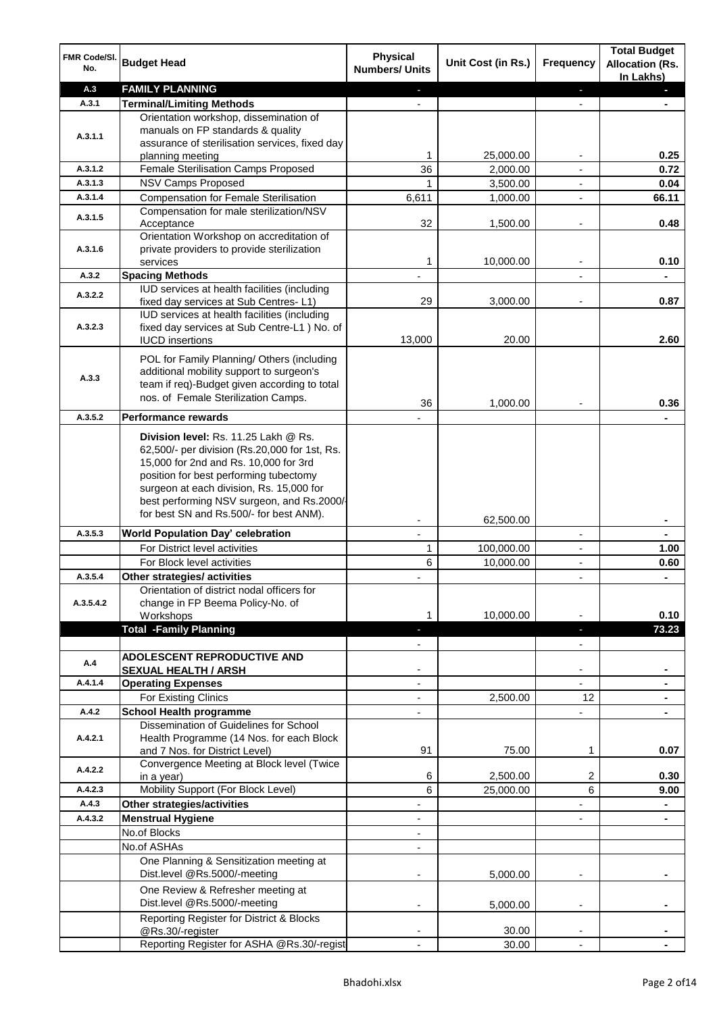| FMR Code/SI.<br>No.  | <b>Budget Head</b>                                                                                                                                                                                                                                                                                            | <b>Physical</b><br><b>Numbers/ Units</b> | Unit Cost (in Rs.)    | Frequency                     | <b>Total Budget</b><br><b>Allocation (Rs.</b><br>In Lakhs) |
|----------------------|---------------------------------------------------------------------------------------------------------------------------------------------------------------------------------------------------------------------------------------------------------------------------------------------------------------|------------------------------------------|-----------------------|-------------------------------|------------------------------------------------------------|
| A.3                  | <b>FAMILY PLANNING</b>                                                                                                                                                                                                                                                                                        | E.                                       |                       | $\blacksquare$                | $\blacksquare$                                             |
| A.3.1                | <b>Terminal/Limiting Methods</b>                                                                                                                                                                                                                                                                              |                                          |                       |                               |                                                            |
| A.3.1.1              | Orientation workshop, dissemination of<br>manuals on FP standards & quality<br>assurance of sterilisation services, fixed day                                                                                                                                                                                 | 1                                        |                       |                               | 0.25                                                       |
| A.3.1.2              | planning meeting<br>Female Sterilisation Camps Proposed                                                                                                                                                                                                                                                       | 36                                       | 25,000.00<br>2,000.00 | ۰<br>$\overline{\phantom{a}}$ | 0.72                                                       |
| A.3.1.3              |                                                                                                                                                                                                                                                                                                               |                                          |                       |                               |                                                            |
|                      | NSV Camps Proposed                                                                                                                                                                                                                                                                                            | 1                                        | 3,500.00              | $\overline{\phantom{a}}$      | 0.04                                                       |
| A.3.1.4              | <b>Compensation for Female Sterilisation</b>                                                                                                                                                                                                                                                                  | 6,611                                    | 1,000.00              | $\blacksquare$                | 66.11                                                      |
| A.3.1.5              | Compensation for male sterilization/NSV<br>Acceptance<br>Orientation Workshop on accreditation of                                                                                                                                                                                                             | 32                                       | 1,500.00              | ٠                             | 0.48                                                       |
| A.3.1.6              | private providers to provide sterilization<br>services                                                                                                                                                                                                                                                        | 1                                        | 10,000.00             |                               | 0.10                                                       |
| A.3.2                | <b>Spacing Methods</b>                                                                                                                                                                                                                                                                                        |                                          |                       |                               |                                                            |
|                      | IUD services at health facilities (including                                                                                                                                                                                                                                                                  |                                          |                       |                               |                                                            |
| A.3.2.2              | fixed day services at Sub Centres-L1)<br>IUD services at health facilities (including                                                                                                                                                                                                                         | 29                                       | 3,000.00              |                               | 0.87                                                       |
| A.3.2.3              | fixed day services at Sub Centre-L1 ) No. of<br><b>IUCD</b> insertions                                                                                                                                                                                                                                        | 13,000                                   | 20.00                 |                               | 2.60                                                       |
| A.3.3                | POL for Family Planning/ Others (including<br>additional mobility support to surgeon's<br>team if req)-Budget given according to total<br>nos. of Female Sterilization Camps.                                                                                                                                 | 36                                       | 1,000.00              |                               | 0.36                                                       |
| A.3.5.2              | <b>Performance rewards</b>                                                                                                                                                                                                                                                                                    |                                          |                       |                               |                                                            |
|                      | Division level: Rs. 11.25 Lakh @ Rs.<br>62,500/- per division (Rs.20,000 for 1st, Rs.<br>15,000 for 2nd and Rs. 10,000 for 3rd<br>position for best performing tubectomy<br>surgeon at each division, Rs. 15,000 for<br>best performing NSV surgeon, and Rs.2000/-<br>for best SN and Rs.500/- for best ANM). |                                          |                       |                               |                                                            |
| A.3.5.3              |                                                                                                                                                                                                                                                                                                               |                                          | 62,500.00             |                               |                                                            |
|                      | World Population Day' celebration                                                                                                                                                                                                                                                                             |                                          |                       | $\overline{\phantom{a}}$      |                                                            |
|                      | For District level activities                                                                                                                                                                                                                                                                                 | 1                                        | 100,000.00            | ٠                             | 1.00                                                       |
|                      | For Block level activities                                                                                                                                                                                                                                                                                    | 6                                        | 10,000.00             | L,                            | 0.60                                                       |
| A.3.5.4<br>A.3.5.4.2 | Other strategies/ activities<br>Orientation of district nodal officers for<br>change in FP Beema Policy-No. of<br>Workshops                                                                                                                                                                                   | 1                                        | 10,000.00             | $\overline{\phantom{a}}$      | $\blacksquare$<br>0.10                                     |
|                      | <b>Total -Family Planning</b>                                                                                                                                                                                                                                                                                 | н                                        |                       | ٠                             | 73.23                                                      |
| A.4                  | <b>ADOLESCENT REPRODUCTIVE AND</b>                                                                                                                                                                                                                                                                            |                                          |                       | $\overline{\phantom{0}}$      |                                                            |
|                      | <b>SEXUAL HEALTH / ARSH</b>                                                                                                                                                                                                                                                                                   |                                          |                       | ۰                             |                                                            |
| A.4.1.4              | <b>Operating Expenses</b>                                                                                                                                                                                                                                                                                     | $\overline{\phantom{0}}$                 |                       | $\overline{\phantom{0}}$      |                                                            |
|                      | For Existing Clinics                                                                                                                                                                                                                                                                                          | $\overline{\phantom{0}}$                 | 2,500.00              | 12                            |                                                            |
| A.4.2                | <b>School Health programme</b>                                                                                                                                                                                                                                                                                | $\overline{\phantom{0}}$                 |                       | ÷,                            |                                                            |
| A.4.2.1              | Dissemination of Guidelines for School<br>Health Programme (14 Nos. for each Block                                                                                                                                                                                                                            |                                          |                       |                               |                                                            |
|                      | and 7 Nos. for District Level)<br>Convergence Meeting at Block level (Twice                                                                                                                                                                                                                                   | 91                                       | 75.00                 | 1                             | 0.07                                                       |
| A.4.2.2              | in a year)                                                                                                                                                                                                                                                                                                    | 6                                        | 2,500.00              | 2                             | 0.30                                                       |
| A.4.2.3              | Mobility Support (For Block Level)                                                                                                                                                                                                                                                                            | 6                                        | 25,000.00             | 6                             | 9.00                                                       |
| A.4.3                | Other strategies/activities                                                                                                                                                                                                                                                                                   | ÷,                                       |                       | $\overline{\phantom{0}}$      | $\blacksquare$                                             |
| A.4.3.2              |                                                                                                                                                                                                                                                                                                               |                                          |                       |                               |                                                            |
|                      | <b>Menstrual Hygiene</b><br>No.of Blocks                                                                                                                                                                                                                                                                      | $\overline{\phantom{a}}$                 |                       | ÷,                            | $\blacksquare$                                             |
|                      |                                                                                                                                                                                                                                                                                                               | $\blacksquare$                           |                       |                               |                                                            |
|                      | No.of ASHAs                                                                                                                                                                                                                                                                                                   | $\overline{\phantom{a}}$                 |                       |                               |                                                            |
|                      | One Planning & Sensitization meeting at<br>Dist.level @Rs.5000/-meeting                                                                                                                                                                                                                                       |                                          | 5,000.00              |                               |                                                            |
|                      | One Review & Refresher meeting at<br>Dist.level @Rs.5000/-meeting                                                                                                                                                                                                                                             | $\overline{\phantom{a}}$                 | 5,000.00              | ٠                             |                                                            |
|                      | Reporting Register for District & Blocks<br>@Rs.30/-register                                                                                                                                                                                                                                                  |                                          | 30.00                 |                               |                                                            |
|                      | Reporting Register for ASHA @Rs.30/-regist                                                                                                                                                                                                                                                                    |                                          | 30.00                 |                               |                                                            |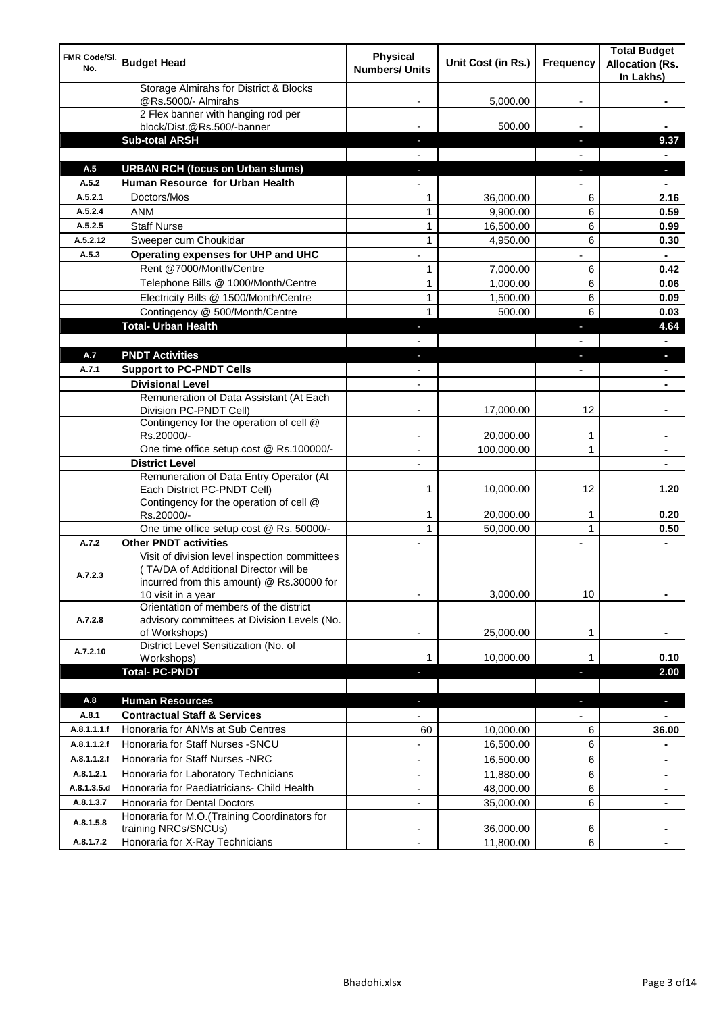| FMR Code/SI.<br>No. | <b>Budget Head</b>                                                                                                                  | <b>Physical</b><br><b>Numbers/ Units</b> | Unit Cost (in Rs.) | <b>Frequency</b>         | <b>Total Budget</b><br><b>Allocation (Rs.</b><br>In Lakhs) |
|---------------------|-------------------------------------------------------------------------------------------------------------------------------------|------------------------------------------|--------------------|--------------------------|------------------------------------------------------------|
|                     | Storage Almirahs for District & Blocks<br>@Rs.5000/- Almirahs                                                                       |                                          | 5,000.00           |                          |                                                            |
|                     | 2 Flex banner with hanging rod per<br>block/Dist.@Rs.500/-banner                                                                    |                                          | 500.00             |                          |                                                            |
|                     | <b>Sub-total ARSH</b>                                                                                                               |                                          |                    | ٠                        | 9.37                                                       |
|                     |                                                                                                                                     |                                          |                    |                          |                                                            |
| A.5                 | <b>URBAN RCH (focus on Urban slums)</b>                                                                                             |                                          |                    | ٠                        | $\blacksquare$                                             |
| A.5.2               | Human Resource for Urban Health                                                                                                     | $\blacksquare$                           |                    | $\overline{\phantom{0}}$ | $\blacksquare$                                             |
| A.5.2.1             | Doctors/Mos                                                                                                                         | 1                                        | 36,000.00          | 6                        | 2.16                                                       |
| A.5.2.4             | <b>ANM</b>                                                                                                                          | 1                                        | 9,900.00           | 6                        | 0.59                                                       |
| A.5.2.5             | <b>Staff Nurse</b>                                                                                                                  | 1                                        | 16,500.00          | 6                        | 0.99                                                       |
| A.5.2.12            | Sweeper cum Choukidar                                                                                                               | 1                                        | 4,950.00           | 6                        | 0.30                                                       |
| A.5.3               | Operating expenses for UHP and UHC                                                                                                  | $\overline{a}$                           |                    |                          | $\blacksquare$                                             |
|                     | Rent @7000/Month/Centre                                                                                                             | 1                                        | 7,000.00           | 6                        | 0.42                                                       |
|                     | Telephone Bills @ 1000/Month/Centre                                                                                                 | 1                                        | 1,000.00           | 6                        | 0.06                                                       |
|                     | Electricity Bills @ 1500/Month/Centre                                                                                               | 1                                        | 1,500.00           | 6                        | 0.09                                                       |
|                     | Contingency @ 500/Month/Centre                                                                                                      | $\mathbf{1}$                             | 500.00             | 6                        | 0.03                                                       |
|                     | <b>Total- Urban Health</b>                                                                                                          | ٠                                        |                    | ٠                        | 4.64                                                       |
|                     |                                                                                                                                     |                                          |                    |                          |                                                            |
| A.7                 | <b>PNDT Activities</b>                                                                                                              | ٠                                        |                    | $\blacksquare$           | ٠                                                          |
| A.7.1               | <b>Support to PC-PNDT Cells</b>                                                                                                     | $\overline{\phantom{a}}$                 |                    | ÷                        | $\blacksquare$                                             |
|                     | <b>Divisional Level</b>                                                                                                             | $\overline{\phantom{a}}$                 |                    |                          | $\blacksquare$                                             |
|                     | Remuneration of Data Assistant (At Each<br>Division PC-PNDT Cell)                                                                   |                                          | 17,000.00          | 12                       |                                                            |
|                     | Contingency for the operation of cell @<br>Rs.20000/-                                                                               | ۰                                        | 20,000.00          | $\mathbf 1$              | ۰                                                          |
|                     | One time office setup cost @ Rs.100000/-                                                                                            | $\blacksquare$                           | 100,000.00         | 1                        | ٠                                                          |
|                     | <b>District Level</b>                                                                                                               | $\overline{\phantom{a}}$                 |                    |                          | $\blacksquare$                                             |
|                     | Remuneration of Data Entry Operator (At<br>Each District PC-PNDT Cell)                                                              | 1                                        | 10,000.00          | 12                       | 1.20                                                       |
|                     | Contingency for the operation of cell @<br>Rs.20000/-                                                                               | 1                                        | 20,000.00          | 1                        | 0.20                                                       |
|                     | One time office setup cost @ Rs. 50000/-                                                                                            | $\mathbf{1}$                             | 50,000.00          | $\mathbf{1}$             | 0.50                                                       |
| A.7.2               | <b>Other PNDT activities</b>                                                                                                        | $\overline{\phantom{a}}$                 |                    | $\overline{\phantom{a}}$ | $\blacksquare$                                             |
| A.7.2.3             | Visit of division level inspection committees<br>(TA/DA of Additional Director will be<br>incurred from this amount) @ Rs.30000 for | ۰                                        | 3,000.00           | 10                       | ۰                                                          |
| A.7.2.8             | 10 visit in a year<br>Orientation of members of the district<br>advisory committees at Division Levels (No.<br>of Workshops)        |                                          | 25,000.00          | 1                        |                                                            |
|                     | District Level Sensitization (No. of                                                                                                |                                          |                    |                          |                                                            |
| A.7.2.10            | Workshops)                                                                                                                          | 1                                        | 10,000.00          | 1                        | 0.10                                                       |
|                     | <b>Total-PC-PNDT</b>                                                                                                                |                                          |                    | Ξ                        | 2.00                                                       |
|                     |                                                                                                                                     |                                          |                    |                          |                                                            |
| A.8                 | <b>Human Resources</b>                                                                                                              | ٠                                        |                    | $\blacksquare$           | Ξ                                                          |
| A.8.1               | <b>Contractual Staff &amp; Services</b>                                                                                             |                                          |                    |                          |                                                            |
| A.8.1.1.1.f         | Honoraria for ANMs at Sub Centres                                                                                                   | 60                                       | 10,000.00          | 6                        | 36.00                                                      |
| A.8.1.1.2.f         | Honoraria for Staff Nurses - SNCU                                                                                                   | ۰                                        | 16,500.00          | 6                        | ۰                                                          |
| A.8.1.1.2.f         | Honoraria for Staff Nurses -NRC                                                                                                     | -                                        | 16,500.00          | 6                        | ۰                                                          |
| A.8.1.2.1           | Honoraria for Laboratory Technicians                                                                                                | $\overline{\phantom{a}}$                 | 11,880.00          | 6                        | $\blacksquare$                                             |
| A.8.1.3.5.d         | Honoraria for Paediatricians- Child Health                                                                                          | $\blacksquare$                           | 48,000.00          | 6                        | ٠                                                          |
| A.8.1.3.7           | Honoraria for Dental Doctors                                                                                                        | $\overline{\phantom{a}}$                 | 35,000.00          | 6                        | $\blacksquare$                                             |
| A.8.1.5.8           | Honoraria for M.O.(Training Coordinators for<br>training NRCs/SNCUs)                                                                |                                          | 36,000.00          | 6                        |                                                            |
| A.8.1.7.2           | Honoraria for X-Ray Technicians                                                                                                     |                                          | 11,800.00          | $6\phantom{1}$           |                                                            |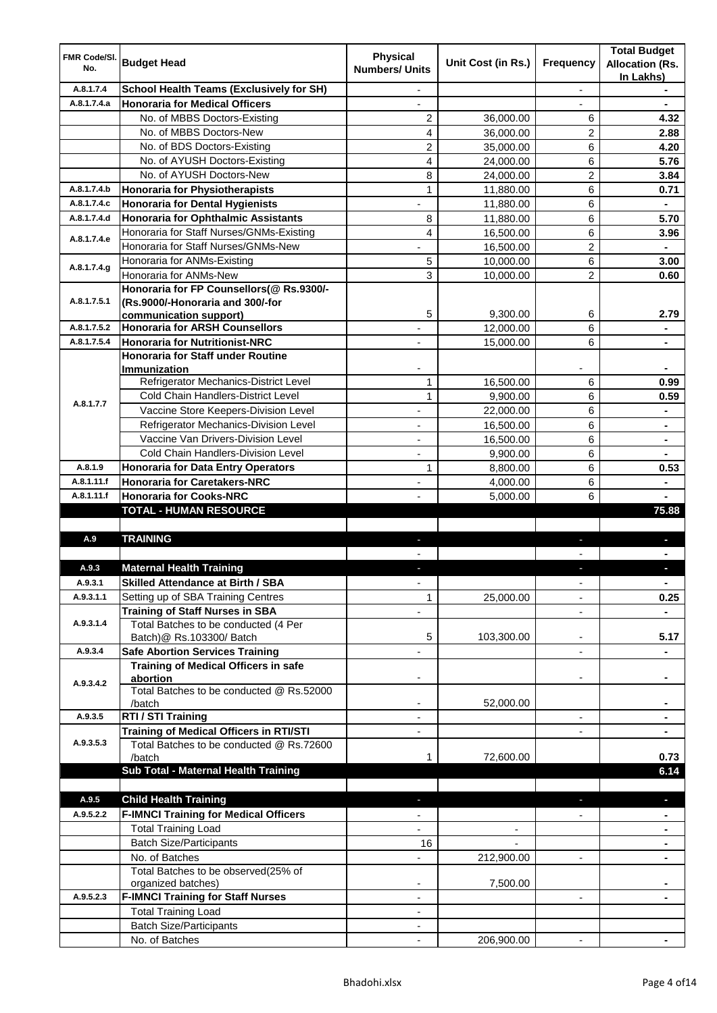| FMR Code/SI.<br>No. | <b>Budget Head</b>                                                                         | <b>Physical</b><br><b>Numbers/ Units</b> | Unit Cost (in Rs.) | <b>Frequency</b>         | <b>Total Budget</b><br><b>Allocation (Rs.</b><br>In Lakhs) |
|---------------------|--------------------------------------------------------------------------------------------|------------------------------------------|--------------------|--------------------------|------------------------------------------------------------|
| A.8.1.7.4           | <b>School Health Teams (Exclusively for SH)</b>                                            |                                          |                    | $\overline{\phantom{a}}$ |                                                            |
| A.8.1.7.4.a         | <b>Honoraria for Medical Officers</b>                                                      |                                          |                    |                          |                                                            |
|                     | No. of MBBS Doctors-Existing                                                               | 2                                        | 36,000.00          | 6                        | 4.32                                                       |
|                     | No. of MBBS Doctors-New                                                                    | 4                                        | 36,000.00          | 2                        | 2.88                                                       |
|                     | No. of BDS Doctors-Existing                                                                | 2                                        | 35,000.00          | 6                        | 4.20                                                       |
|                     | No. of AYUSH Doctors-Existing                                                              | 4                                        | 24,000.00          | 6                        | 5.76                                                       |
|                     | No. of AYUSH Doctors-New                                                                   | 8                                        | 24,000.00          | 2                        | 3.84                                                       |
| A.8.1.7.4.b         | Honoraria for Physiotherapists                                                             | 1                                        | 11,880.00          | 6                        | 0.71                                                       |
| A.8.1.7.4.c         | Honoraria for Dental Hygienists                                                            | ä,                                       | 11,880.00          | 6                        | $\blacksquare$                                             |
| A.8.1.7.4.d         | Honoraria for Ophthalmic Assistants                                                        | 8                                        | 11,880.00          | 6                        | 5.70                                                       |
| A.8.1.7.4.e         | Honoraria for Staff Nurses/GNMs-Existing                                                   | $\overline{\mathbf{4}}$                  | 16,500.00          | 6                        | 3.96                                                       |
|                     | Honoraria for Staff Nurses/GNMs-New                                                        | $\overline{a}$                           | 16,500.00          | $\overline{2}$           | $\blacksquare$                                             |
| A.8.1.7.4.g         | Honoraria for ANMs-Existing                                                                | 5                                        | 10,000.00          | 6                        | 3.00                                                       |
|                     | Honoraria for ANMs-New                                                                     | 3                                        | 10,000.00          | $\overline{2}$           | 0.60                                                       |
|                     | Honoraria for FP Counsellors(@ Rs.9300/-                                                   |                                          |                    |                          |                                                            |
| A.8.1.7.5.1         | (Rs.9000/-Honoraria and 300/-for                                                           |                                          |                    |                          |                                                            |
|                     | communication support)                                                                     | 5                                        | 9,300.00           | 6                        | 2.79                                                       |
| A.8.1.7.5.2         | <b>Honoraria for ARSH Counsellors</b>                                                      |                                          | 12,000.00          | 6                        |                                                            |
| A.8.1.7.5.4         | <b>Honoraria for Nutritionist-NRC</b>                                                      |                                          | 15.000.00          | 6                        |                                                            |
|                     | Honoraria for Staff under Routine                                                          |                                          |                    |                          |                                                            |
|                     | <b>Immunization</b><br>Refrigerator Mechanics-District Level                               | 1                                        | 16,500.00          | 6                        | 0.99                                                       |
|                     | <b>Cold Chain Handlers-District Level</b>                                                  | $\mathbf{1}$                             | 9,900.00           | 6                        | 0.59                                                       |
| A.8.1.7.7           | Vaccine Store Keepers-Division Level                                                       |                                          | 22,000.00          | 6                        |                                                            |
|                     | Refrigerator Mechanics-Division Level                                                      |                                          | 16,500.00          | 6                        |                                                            |
|                     | Vaccine Van Drivers-Division Level                                                         |                                          | 16,500.00          | 6                        | $\blacksquare$                                             |
|                     | Cold Chain Handlers-Division Level                                                         |                                          | 9,900.00           | 6                        |                                                            |
| A.8.1.9             | Honoraria for Data Entry Operators                                                         | 1                                        | 8,800.00           | 6                        | 0.53                                                       |
| A.8.1.11.f          | <b>Honoraria for Caretakers-NRC</b>                                                        |                                          | 4,000.00           | 6                        |                                                            |
| A.8.1.11.f          | <b>Honoraria for Cooks-NRC</b>                                                             |                                          | 5,000.00           | 6                        |                                                            |
|                     | TOTAL - HUMAN RESOURCE                                                                     |                                          |                    |                          | 75.88                                                      |
|                     |                                                                                            |                                          |                    |                          |                                                            |
| A.9                 | <b>TRAINING</b>                                                                            |                                          |                    |                          |                                                            |
|                     |                                                                                            |                                          |                    |                          |                                                            |
| A.9.3               | <b>Maternal Health Training</b>                                                            |                                          |                    |                          |                                                            |
| A.Y.3.1             | <b>Skilled Attendance at Birth / SBA</b>                                                   |                                          |                    | $\overline{\phantom{a}}$ |                                                            |
| A.9.3.1.1           | Setting up of SBA Training Centres                                                         | 1                                        | 25,000.00          |                          | 0.25                                                       |
|                     | <b>Training of Staff Nurses in SBA</b>                                                     |                                          |                    | $\blacksquare$           |                                                            |
| A.9.3.1.4           | Total Batches to be conducted (4 Per                                                       |                                          |                    |                          |                                                            |
|                     | Batch) @ Rs.103300/ Batch                                                                  | 5                                        | 103,300.00         | $\overline{\phantom{a}}$ | 5.17                                                       |
| A.9.3.4             | <b>Safe Abortion Services Training</b>                                                     |                                          |                    | $\overline{\phantom{0}}$ |                                                            |
|                     | Training of Medical Officers in safe                                                       |                                          |                    |                          |                                                            |
| A.9.3.4.2           | abortion                                                                                   |                                          |                    | $\overline{\phantom{a}}$ | ٠                                                          |
|                     | Total Batches to be conducted @ Rs.52000                                                   |                                          |                    |                          |                                                            |
|                     | /batch                                                                                     |                                          | 52,000.00          |                          |                                                            |
| A.9.3.5             | RTI / STI Training                                                                         |                                          |                    | $\overline{\phantom{a}}$ |                                                            |
| A.9.3.5.3           | <b>Training of Medical Officers in RTI/STI</b><br>Total Batches to be conducted @ Rs.72600 |                                          |                    |                          |                                                            |
|                     | /batch                                                                                     | 1                                        | 72,600.00          |                          | 0.73                                                       |
|                     | Sub Total - Maternal Health Training                                                       |                                          |                    |                          | 6.14                                                       |
|                     |                                                                                            |                                          |                    |                          |                                                            |
| A.9.5               | <b>Child Health Training</b>                                                               |                                          |                    |                          | $\blacksquare$                                             |
| A.9.5.2.2           | <b>F-IMNCI Training for Medical Officers</b>                                               |                                          |                    |                          |                                                            |
|                     | <b>Total Training Load</b>                                                                 |                                          |                    |                          |                                                            |
|                     | <b>Batch Size/Participants</b>                                                             | 16                                       |                    |                          |                                                            |
|                     | No. of Batches                                                                             |                                          | 212,900.00         | ٠                        |                                                            |
|                     | Total Batches to be observed(25% of                                                        |                                          |                    |                          |                                                            |
|                     | organized batches)                                                                         |                                          | 7,500.00           |                          |                                                            |
| A.9.5.2.3           | <b>F-IMNCI Training for Staff Nurses</b>                                                   |                                          |                    | $\overline{\phantom{a}}$ |                                                            |
|                     | <b>Total Training Load</b>                                                                 |                                          |                    |                          |                                                            |
|                     | <b>Batch Size/Participants</b>                                                             |                                          |                    |                          |                                                            |
|                     | No. of Batches                                                                             | $\overline{\phantom{a}}$                 | 206,900.00         | $\blacksquare$           | ۰                                                          |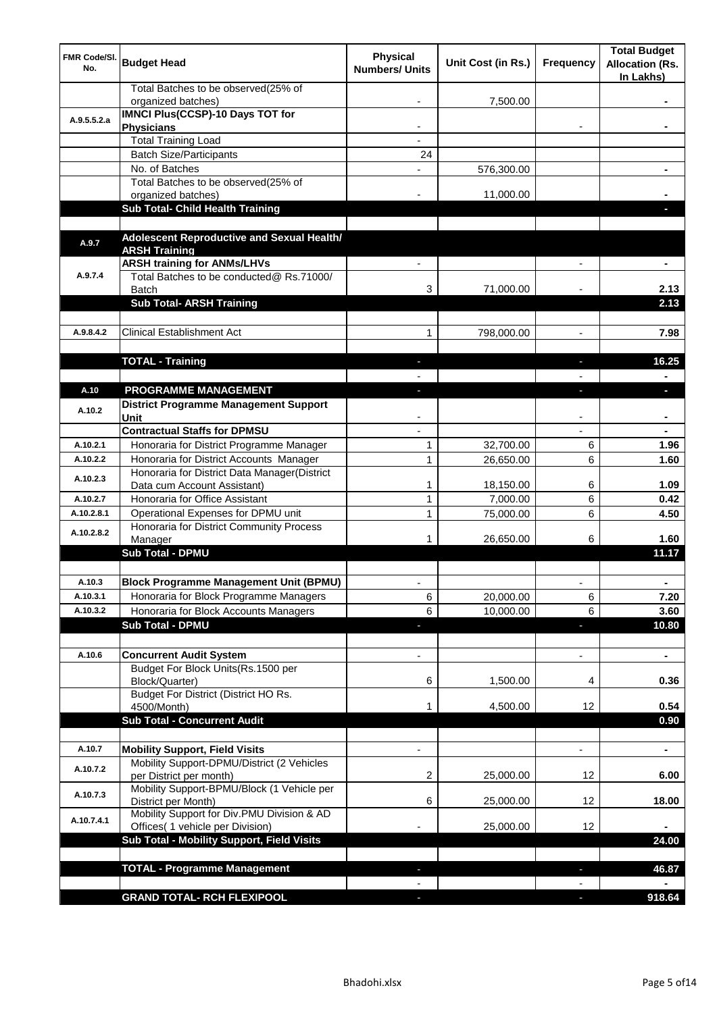| FMR Code/SI.<br>No. | <b>Budget Head</b>                                                                                       | <b>Physical</b><br><b>Numbers/ Units</b> | Unit Cost (in Rs.) | <b>Frequency</b>         | <b>Total Budget</b><br><b>Allocation (Rs.</b><br>In Lakhs) |
|---------------------|----------------------------------------------------------------------------------------------------------|------------------------------------------|--------------------|--------------------------|------------------------------------------------------------|
|                     | Total Batches to be observed(25% of<br>organized batches)                                                |                                          | 7,500.00           |                          |                                                            |
| A.9.5.5.2.a         | <b>IMNCI Plus(CCSP)-10 Days TOT for</b><br><b>Physicians</b>                                             |                                          |                    |                          |                                                            |
|                     | <b>Total Training Load</b>                                                                               |                                          |                    |                          |                                                            |
|                     | <b>Batch Size/Participants</b>                                                                           | 24                                       |                    |                          |                                                            |
|                     | No. of Batches                                                                                           |                                          | 576,300.00         |                          |                                                            |
|                     | Total Batches to be observed(25% of                                                                      |                                          |                    |                          |                                                            |
|                     | organized batches)                                                                                       |                                          | 11,000.00          |                          |                                                            |
|                     | Sub Total- Child Health Training                                                                         |                                          |                    |                          |                                                            |
| A.9.7               | Adolescent Reproductive and Sexual Health/<br><b>ARSH Training</b><br><b>ARSH training for ANMs/LHVs</b> |                                          |                    |                          |                                                            |
| A.9.7.4             | Total Batches to be conducted@ Rs.71000/<br><b>Batch</b>                                                 | 3                                        | 71,000.00          |                          | 2.13                                                       |
|                     | <b>Sub Total- ARSH Training</b>                                                                          |                                          |                    |                          | 2.13                                                       |
|                     |                                                                                                          |                                          |                    |                          |                                                            |
| A.9.8.4.2           | <b>Clinical Establishment Act</b>                                                                        | 1                                        | 798,000.00         |                          | 7.98                                                       |
|                     |                                                                                                          |                                          |                    |                          |                                                            |
|                     | <b>TOTAL - Training</b>                                                                                  | ٠                                        |                    | ٠                        | 16.25                                                      |
|                     |                                                                                                          |                                          |                    |                          |                                                            |
| A.10                | PROGRAMME MANAGEMENT                                                                                     | L.                                       |                    | $\overline{\phantom{a}}$ | п                                                          |
| A.10.2              | <b>District Programme Management Support</b><br>Unit                                                     |                                          |                    |                          |                                                            |
|                     | <b>Contractual Staffs for DPMSU</b>                                                                      |                                          |                    |                          |                                                            |
| A.10.2.1            | Honoraria for District Programme Manager                                                                 | 1                                        | 32,700.00          | 6                        | 1.96                                                       |
| A.10.2.2            | Honoraria for District Accounts Manager                                                                  | 1                                        | 26,650.00          | 6                        | 1.60                                                       |
| A.10.2.3            | Honoraria for District Data Manager(District                                                             |                                          |                    |                          |                                                            |
|                     | Data cum Account Assistant)                                                                              | 1                                        | 18,150.00          | 6                        | 1.09                                                       |
| A.10.2.7            | Honoraria for Office Assistant                                                                           | 1                                        | 7,000.00           | 6                        | 0.42                                                       |
| A.10.2.8.1          | Operational Expenses for DPMU unit<br>Honoraria for District Community Process                           | 1                                        | 75,000.00          | 6                        | 4.50                                                       |
| A.10.2.8.2          | Manager<br><b>Sub Total - DPMU</b>                                                                       |                                          | 26,650.00          | 6                        | 1.60<br>11.17                                              |
|                     |                                                                                                          |                                          |                    |                          |                                                            |
| A.10.3              | <b>Block Programme Management Unit (BPMU)</b>                                                            |                                          |                    |                          |                                                            |
| A.10.3.1            | Honoraria for Block Programme Managers                                                                   | 6                                        | 20,000.00          | 6                        | 7.20                                                       |
| A.10.3.2            | Honoraria for Block Accounts Managers                                                                    | 6                                        | 10,000.00          | 6                        | 3.60                                                       |
|                     | <b>Sub Total - DPMU</b>                                                                                  | $\overline{\phantom{a}}$                 |                    | ÷,                       | 10.80                                                      |
|                     |                                                                                                          |                                          |                    |                          |                                                            |
| A.10.6              | <b>Concurrent Audit System</b>                                                                           |                                          |                    |                          | ٠                                                          |
|                     | Budget For Block Units(Rs.1500 per<br>Block/Quarter)                                                     | 6                                        | 1,500.00           | 4                        | 0.36                                                       |
|                     | Budget For District (District HO Rs.<br>4500/Month)                                                      | 1                                        | 4,500.00           | 12                       | 0.54                                                       |
|                     | <b>Sub Total - Concurrent Audit</b>                                                                      |                                          |                    |                          | 0.90                                                       |
|                     |                                                                                                          |                                          |                    |                          |                                                            |
| A.10.7              | <b>Mobility Support, Field Visits</b>                                                                    |                                          |                    |                          | ÷                                                          |
| A.10.7.2            | Mobility Support-DPMU/District (2 Vehicles<br>per District per month)                                    | 2                                        | 25,000.00          | 12                       | 6.00                                                       |
| A.10.7.3            | Mobility Support-BPMU/Block (1 Vehicle per<br>District per Month)                                        | 6                                        | 25,000.00          | 12                       | 18.00                                                      |
| A.10.7.4.1          | Mobility Support for Div.PMU Division & AD<br>Offices( 1 vehicle per Division)                           |                                          | 25,000.00          | 12                       |                                                            |
|                     | Sub Total - Mobility Support, Field Visits                                                               |                                          |                    |                          | 24.00                                                      |
|                     |                                                                                                          |                                          |                    |                          |                                                            |
|                     | <b>TOTAL - Programme Management</b>                                                                      |                                          |                    | $\overline{\phantom{a}}$ | 46.87                                                      |
|                     |                                                                                                          |                                          |                    |                          |                                                            |
|                     | <b>GRAND TOTAL- RCH FLEXIPOOL</b>                                                                        |                                          |                    | ı                        | 918.64                                                     |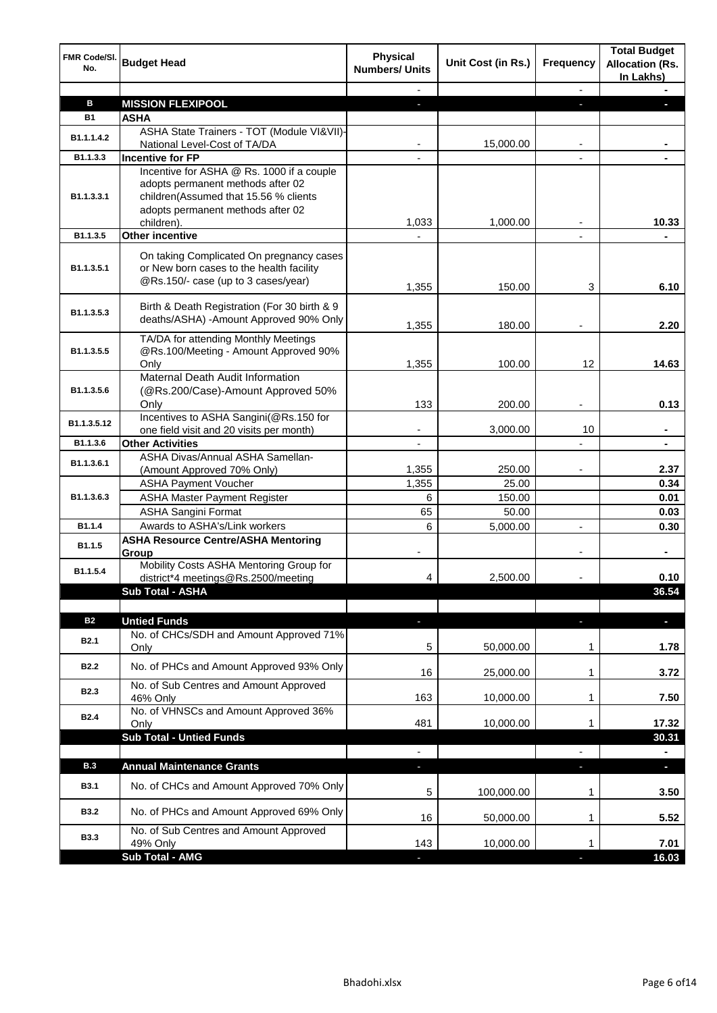| <b>FMR Code/SI.</b><br>No. | <b>Budget Head</b>                                                                                                                                                         | <b>Physical</b><br><b>Numbers/ Units</b> | Unit Cost (in Rs.)     | <b>Frequency</b> | <b>Total Budget</b><br><b>Allocation (Rs.</b><br>In Lakhs) |
|----------------------------|----------------------------------------------------------------------------------------------------------------------------------------------------------------------------|------------------------------------------|------------------------|------------------|------------------------------------------------------------|
|                            |                                                                                                                                                                            |                                          |                        | $\blacksquare$   |                                                            |
| в                          | <b>MISSION FLEXIPOOL</b>                                                                                                                                                   |                                          |                        |                  |                                                            |
| <b>B1</b>                  | <b>ASHA</b>                                                                                                                                                                |                                          |                        |                  |                                                            |
| B1.1.1.4.2                 | ASHA State Trainers - TOT (Module VI&VII)-                                                                                                                                 |                                          |                        |                  |                                                            |
|                            | National Level-Cost of TA/DA                                                                                                                                               |                                          | 15,000.00              |                  |                                                            |
| B1.1.3.3                   | Incentive for FP                                                                                                                                                           |                                          |                        |                  |                                                            |
| B <sub>1.1</sub> .3.3.1    | Incentive for ASHA @ Rs. 1000 if a couple<br>adopts permanent methods after 02<br>children(Assumed that 15.56 % clients<br>adopts permanent methods after 02<br>children). | 1,033                                    | 1,000.00               |                  | 10.33                                                      |
| B1.1.3.5                   | <b>Other incentive</b>                                                                                                                                                     |                                          |                        |                  |                                                            |
|                            |                                                                                                                                                                            |                                          |                        |                  |                                                            |
| B1.1.3.5.1                 | On taking Complicated On pregnancy cases<br>or New born cases to the health facility<br>@Rs.150/- case (up to 3 cases/year)                                                | 1,355                                    | 150.00                 | 3                | 6.10                                                       |
| B1.1.3.5.3                 | Birth & Death Registration (For 30 birth & 9<br>deaths/ASHA) - Amount Approved 90% Only                                                                                    | 1,355                                    | 180.00                 |                  | 2.20                                                       |
| B1.1.3.5.5                 | TA/DA for attending Monthly Meetings<br>@Rs.100/Meeting - Amount Approved 90%<br>Only                                                                                      | 1,355                                    | 100.00                 | 12 <sup>°</sup>  | 14.63                                                      |
|                            | Maternal Death Audit Information                                                                                                                                           |                                          |                        |                  |                                                            |
| B1.1.3.5.6                 | (@Rs.200/Case)-Amount Approved 50%<br>Only                                                                                                                                 | 133                                      | 200.00                 |                  | 0.13                                                       |
|                            | Incentives to ASHA Sangini(@Rs.150 for                                                                                                                                     |                                          |                        |                  |                                                            |
| B1.1.3.5.12                | one field visit and 20 visits per month)                                                                                                                                   |                                          | 3,000.00               | 10               |                                                            |
| B1.1.3.6                   | <b>Other Activities</b>                                                                                                                                                    |                                          |                        |                  |                                                            |
| B1.1.3.6.1                 | ASHA Divas/Annual ASHA Samellan-                                                                                                                                           |                                          |                        |                  |                                                            |
|                            | (Amount Approved 70% Only)                                                                                                                                                 | 1,355                                    | 250.00                 |                  | 2.37                                                       |
|                            | <b>ASHA Payment Voucher</b>                                                                                                                                                | 1,355                                    | 25.00                  |                  | 0.34                                                       |
| B1.1.3.6.3                 | <b>ASHA Master Payment Register</b>                                                                                                                                        | 6                                        | 150.00                 |                  | 0.01                                                       |
|                            | <b>ASHA Sangini Format</b>                                                                                                                                                 | 65                                       | 50.00                  |                  | 0.03                                                       |
| B1.1.4                     | Awards to ASHA's/Link workers                                                                                                                                              | 6                                        | 5,000.00               | L,               | 0.30                                                       |
| B1.1.5                     | <b>ASHA Resource Centre/ASHA Mentoring</b><br>Group                                                                                                                        |                                          |                        |                  | $\blacksquare$                                             |
| B1.1.5.4                   | Mobility Costs ASHA Mentoring Group for<br>district*4 meetings@Rs.2500/meeting                                                                                             | 4                                        | 2,500.00               |                  | 0.10                                                       |
|                            | <b>Sub Total - ASHA</b>                                                                                                                                                    |                                          |                        |                  | 36.54                                                      |
|                            |                                                                                                                                                                            |                                          |                        |                  |                                                            |
| <b>B2</b>                  | <b>Untied Funds</b>                                                                                                                                                        | J,                                       |                        | ÷                | $\blacksquare$                                             |
| <b>B2.1</b>                | No. of CHCs/SDH and Amount Approved 71%<br>Only                                                                                                                            | 5                                        | 50,000.00              | 1                | 1.78                                                       |
| <b>B2.2</b>                | No. of PHCs and Amount Approved 93% Only                                                                                                                                   | 16                                       | 25,000.00              | 1                | 3.72                                                       |
| <b>B2.3</b>                | No. of Sub Centres and Amount Approved<br>46% Only                                                                                                                         | 163                                      | 10,000.00              | 1                | 7.50                                                       |
| <b>B2.4</b>                | No. of VHNSCs and Amount Approved 36%<br>Only                                                                                                                              | 481                                      | 10,000.00              | 1                | 17.32                                                      |
|                            | <b>Sub Total - Untied Funds</b>                                                                                                                                            |                                          |                        |                  | 30.31                                                      |
| <b>B.3</b>                 | <b>Annual Maintenance Grants</b>                                                                                                                                           | $\overline{\phantom{a}}$                 |                        | $\frac{1}{2}$    |                                                            |
| <b>B3.1</b>                | No. of CHCs and Amount Approved 70% Only                                                                                                                                   | ٠                                        |                        | ٠                | ÷,                                                         |
| <b>B3.2</b>                | No. of PHCs and Amount Approved 69% Only                                                                                                                                   | 5<br>16                                  | 100,000.00             | 1                | 3.50<br>5.52                                               |
| <b>B3.3</b>                | No. of Sub Centres and Amount Approved                                                                                                                                     | 143                                      | 50,000.00<br>10,000.00 | 1<br>1           | 7.01                                                       |
|                            | 49% Only<br>Sub Total - AMG                                                                                                                                                |                                          |                        |                  | 16.03                                                      |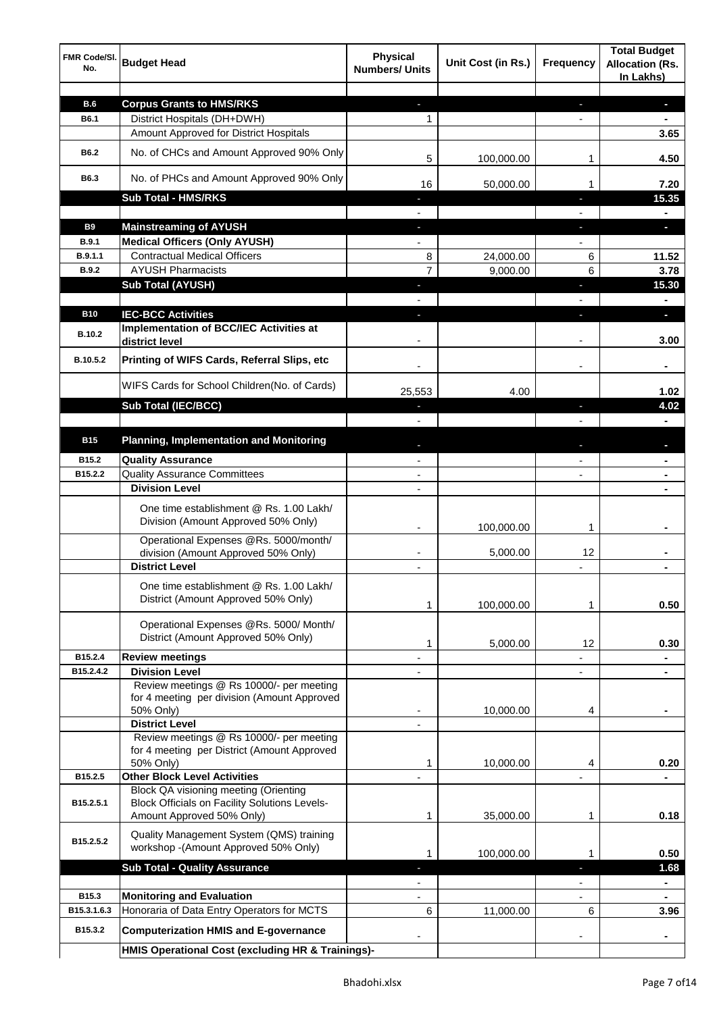| FMR Code/SI.<br>No. | <b>Budget Head</b>                                                               | <b>Physical</b><br><b>Numbers/ Units</b> | Unit Cost (in Rs.) | <b>Frequency</b>         | <b>Total Budget</b><br><b>Allocation (Rs.</b><br>In Lakhs) |
|---------------------|----------------------------------------------------------------------------------|------------------------------------------|--------------------|--------------------------|------------------------------------------------------------|
|                     |                                                                                  |                                          |                    |                          |                                                            |
| <b>B.6</b>          | <b>Corpus Grants to HMS/RKS</b>                                                  | $\overline{\phantom{a}}$                 |                    | ÷                        | $\blacksquare$                                             |
| B6.1                | District Hospitals (DH+DWH)                                                      | 1                                        |                    | $\overline{\phantom{a}}$ | $\blacksquare$                                             |
|                     | Amount Approved for District Hospitals                                           |                                          |                    |                          | 3.65                                                       |
| <b>B6.2</b>         | No. of CHCs and Amount Approved 90% Only                                         | 5                                        | 100,000.00         | 1                        | 4.50                                                       |
| B6.3                | No. of PHCs and Amount Approved 90% Only                                         | 16                                       | 50,000.00          | 1                        | 7.20                                                       |
|                     | <b>Sub Total - HMS/RKS</b>                                                       | ٠                                        |                    | J,                       | 15.35                                                      |
|                     |                                                                                  |                                          |                    |                          | $\blacksquare$                                             |
| <b>B9</b>           | <b>Mainstreaming of AYUSH</b>                                                    | ÷.                                       |                    | ٠                        | $\blacksquare$                                             |
| <b>B.9.1</b>        | <b>Medical Officers (Only AYUSH)</b>                                             | $\overline{\phantom{a}}$                 |                    | $\overline{\phantom{a}}$ |                                                            |
| B.9.1.1             | <b>Contractual Medical Officers</b>                                              | 8                                        | 24,000.00          | 6                        | 11.52                                                      |
| <b>B.9.2</b>        | <b>AYUSH Pharmacists</b>                                                         | 7                                        | 9,000.00           | 6                        | 3.78                                                       |
|                     | <b>Sub Total (AYUSH)</b>                                                         | $\overline{\phantom{a}}$                 |                    | ٠                        | 15.30                                                      |
|                     |                                                                                  |                                          |                    |                          | $\blacksquare$                                             |
| <b>B10</b>          | <b>IEC-BCC Activities</b><br><b>Implementation of BCC/IEC Activities at</b>      | E.                                       |                    | ı                        | $\blacksquare$                                             |
| B.10.2              | district level                                                                   |                                          |                    |                          | 3.00                                                       |
| B.10.5.2            | Printing of WIFS Cards, Referral Slips, etc                                      |                                          |                    |                          | $\blacksquare$                                             |
|                     | WIFS Cards for School Children(No. of Cards)                                     | 25,553                                   | 4.00               |                          | 1.02                                                       |
|                     | <b>Sub Total (IEC/BCC)</b>                                                       |                                          |                    | T                        | 4.02                                                       |
|                     |                                                                                  |                                          |                    |                          |                                                            |
| <b>B15</b>          | <b>Planning, Implementation and Monitoring</b>                                   |                                          |                    |                          |                                                            |
| B15.2               | <b>Quality Assurance</b>                                                         |                                          |                    |                          |                                                            |
| B15.2.2             | <b>Quality Assurance Committees</b>                                              |                                          |                    |                          |                                                            |
|                     | <b>Division Level</b>                                                            |                                          |                    |                          |                                                            |
|                     | One time establishment @ Rs. 1.00 Lakh/<br>Division (Amount Approved 50% Only)   |                                          |                    |                          |                                                            |
|                     |                                                                                  |                                          | 100,000.00         | 1                        |                                                            |
|                     | Operational Expenses @Rs. 5000/month/                                            |                                          |                    |                          |                                                            |
|                     | division (Amount Approved 50% Only)                                              |                                          | 5,000.00           | 12                       |                                                            |
|                     | <b>District Level</b>                                                            | $\overline{\phantom{a}}$                 |                    |                          |                                                            |
|                     | One time establishment @ Rs. 1.00 Lakh/                                          |                                          |                    |                          |                                                            |
|                     | District (Amount Approved 50% Only)                                              |                                          | 100,000.00         | 1                        | 0.50                                                       |
|                     |                                                                                  |                                          |                    |                          |                                                            |
|                     | Operational Expenses @Rs. 5000/ Month/<br>District (Amount Approved 50% Only)    |                                          |                    |                          |                                                            |
|                     |                                                                                  | 1                                        | 5,000.00           | 12                       | 0.30                                                       |
| B15.2.4             | <b>Review meetings</b>                                                           |                                          |                    |                          |                                                            |
| B15.2.4.2           | <b>Division Level</b>                                                            |                                          |                    | L,                       |                                                            |
|                     | Review meetings @ Rs 10000/- per meeting                                         |                                          |                    |                          |                                                            |
|                     | for 4 meeting per division (Amount Approved<br>50% Only)                         | -                                        | 10,000.00          | 4                        | ٠                                                          |
|                     | <b>District Level</b>                                                            |                                          |                    |                          |                                                            |
|                     | Review meetings @ Rs 10000/- per meeting                                         |                                          |                    |                          |                                                            |
|                     | for 4 meeting per District (Amount Approved                                      |                                          |                    |                          |                                                            |
|                     | 50% Only)                                                                        | 1                                        | 10,000.00          | 4                        | 0.20                                                       |
| B15.2.5             | <b>Other Block Level Activities</b>                                              |                                          |                    |                          |                                                            |
|                     | <b>Block QA visioning meeting (Orienting</b>                                     |                                          |                    |                          |                                                            |
| B15.2.5.1           | <b>Block Officials on Facility Solutions Levels-</b>                             |                                          |                    |                          |                                                            |
|                     | Amount Approved 50% Only)                                                        | 1                                        | 35,000.00          | 1                        | 0.18                                                       |
| B15.2.5.2           | Quality Management System (QMS) training<br>workshop -(Amount Approved 50% Only) |                                          |                    |                          |                                                            |
|                     | <b>Sub Total - Quality Assurance</b>                                             | 1                                        | 100,000.00         | 1                        | 0.50                                                       |
|                     |                                                                                  | ı                                        |                    | J,                       | 1.68                                                       |
| B <sub>15.3</sub>   | <b>Monitoring and Evaluation</b>                                                 |                                          |                    |                          |                                                            |
| B15.3.1.6.3         | Honoraria of Data Entry Operators for MCTS                                       | 6                                        | 11,000.00          | 6                        | 3.96                                                       |
| B15.3.2             | <b>Computerization HMIS and E-governance</b>                                     |                                          |                    |                          |                                                            |
|                     | HMIS Operational Cost (excluding HR & Trainings)-                                |                                          |                    |                          |                                                            |
|                     |                                                                                  |                                          |                    |                          |                                                            |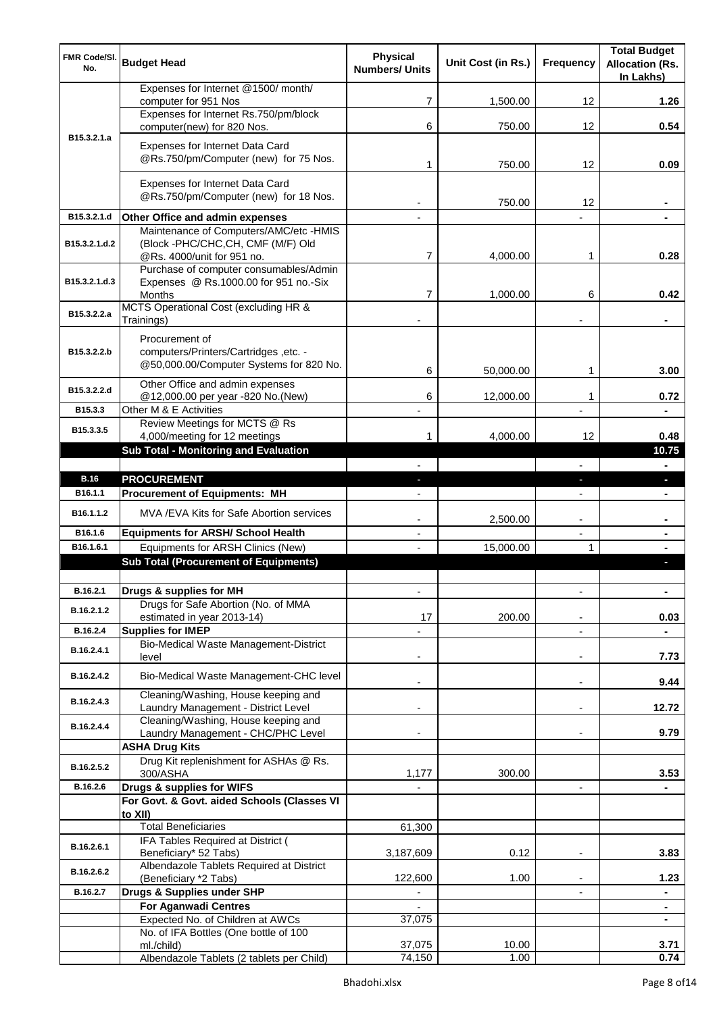| <b>FMR Code/SI.</b><br>No. | <b>Budget Head</b>                                                                | <b>Physical</b><br><b>Numbers/ Units</b> | Unit Cost (in Rs.) | <b>Frequency</b>         | <b>Total Budget</b><br><b>Allocation (Rs.</b><br>In Lakhs) |
|----------------------------|-----------------------------------------------------------------------------------|------------------------------------------|--------------------|--------------------------|------------------------------------------------------------|
|                            | Expenses for Internet @1500/month/<br>computer for 951 Nos                        | 7                                        | 1,500.00           | 12                       | 1.26                                                       |
|                            | Expenses for Internet Rs.750/pm/block                                             |                                          |                    |                          |                                                            |
|                            | computer(new) for 820 Nos.                                                        | 6                                        | 750.00             | 12                       | 0.54                                                       |
| B <sub>15</sub> .3.2.1.a   | Expenses for Internet Data Card                                                   |                                          |                    |                          |                                                            |
|                            | @Rs.750/pm/Computer (new) for 75 Nos.                                             | 1                                        | 750.00             | 12                       | 0.09                                                       |
|                            | Expenses for Internet Data Card                                                   |                                          |                    |                          |                                                            |
|                            | @Rs.750/pm/Computer (new) for 18 Nos.                                             |                                          | 750.00             | 12                       |                                                            |
| B15.3.2.1.d                | Other Office and admin expenses                                                   |                                          |                    |                          |                                                            |
|                            | Maintenance of Computers/AMC/etc -HMIS                                            |                                          |                    |                          |                                                            |
| B15.3.2.1.d.2              | (Block -PHC/CHC,CH, CMF (M/F) Old                                                 |                                          |                    |                          |                                                            |
|                            | @Rs. 4000/unit for 951 no.<br>Purchase of computer consumables/Admin              | 7                                        | 4,000.00           | 1                        | 0.28                                                       |
| B15.3.2.1.d.3              | Expenses @ Rs.1000.00 for 951 no.-Six                                             |                                          |                    |                          |                                                            |
|                            | Months                                                                            | 7                                        | 1,000.00           | 6                        | 0.42                                                       |
| B15.3.2.2.a                | MCTS Operational Cost (excluding HR &<br>Trainings)                               |                                          |                    |                          | ٠                                                          |
|                            |                                                                                   |                                          |                    |                          |                                                            |
| B15.3.2.2.b                | Procurement of<br>computers/Printers/Cartridges, etc. -                           |                                          |                    |                          |                                                            |
|                            | @50,000.00/Computer Systems for 820 No.                                           | 6                                        |                    |                          | 3.00                                                       |
|                            | Other Office and admin expenses                                                   |                                          | 50,000.00          | 1                        |                                                            |
| B15.3.2.2.d                | @12,000.00 per year -820 No.(New)                                                 | 6                                        | 12,000.00          | 1                        | 0.72                                                       |
| B15.3.3                    | Other M & E Activities                                                            |                                          |                    |                          |                                                            |
| B15.3.3.5                  | Review Meetings for MCTS @ Rs<br>4,000/meeting for 12 meetings                    | 1                                        | 4,000.00           | 12                       | 0.48                                                       |
|                            | <b>Sub Total - Monitoring and Evaluation</b>                                      |                                          |                    |                          | 10.75                                                      |
|                            |                                                                                   |                                          |                    |                          |                                                            |
| <b>B.16</b>                | <b>PROCUREMENT</b>                                                                |                                          |                    | E.                       | п                                                          |
| B16.1.1                    | <b>Procurement of Equipments: MH</b>                                              |                                          |                    |                          |                                                            |
| B16.1.1.2                  | MVA /EVA Kits for Safe Abortion services                                          |                                          | 2,500.00           | L,                       |                                                            |
| B16.1.6                    | <b>Equipments for ARSH/ School Health</b>                                         |                                          |                    | L,                       |                                                            |
| B16.1.6.1                  | Equipments for ARSH Clinics (New)<br><b>Sub Total (Procurement of Equipments)</b> |                                          | 15,000.00          | 1                        |                                                            |
|                            |                                                                                   |                                          |                    |                          |                                                            |
| B.16.2.1                   | Drugs & supplies for MH                                                           | L,                                       |                    |                          | $\blacksquare$                                             |
| B.16.2.1.2                 | Drugs for Safe Abortion (No. of MMA                                               |                                          |                    |                          |                                                            |
|                            | estimated in year 2013-14)                                                        | 17                                       | 200.00             |                          | 0.03                                                       |
| B.16.2.4                   | <b>Supplies for IMEP</b><br>Bio-Medical Waste Management-District                 |                                          |                    |                          |                                                            |
| B.16.2.4.1                 | level                                                                             |                                          |                    |                          | 7.73                                                       |
| B.16.2.4.2                 | Bio-Medical Waste Management-CHC level                                            |                                          |                    | L,                       | 9.44                                                       |
| B.16.2.4.3                 | Cleaning/Washing, House keeping and                                               |                                          |                    |                          |                                                            |
|                            | Laundry Management - District Level                                               |                                          |                    | ٠                        | 12.72                                                      |
| B.16.2.4.4                 | Cleaning/Washing, House keeping and<br>Laundry Management - CHC/PHC Level         |                                          |                    |                          | 9.79                                                       |
|                            | <b>ASHA Drug Kits</b>                                                             |                                          |                    |                          |                                                            |
| B.16.2.5.2                 | Drug Kit replenishment for ASHAs @ Rs.<br>300/ASHA                                | 1,177                                    | 300.00             |                          | 3.53                                                       |
| B.16.2.6                   | Drugs & supplies for WIFS                                                         |                                          |                    | $\overline{\phantom{0}}$ |                                                            |
|                            | For Govt. & Govt. aided Schools (Classes VI                                       |                                          |                    |                          |                                                            |
|                            | to XII)<br><b>Total Beneficiaries</b>                                             |                                          |                    |                          |                                                            |
|                            | IFA Tables Required at District (                                                 | 61,300                                   |                    |                          |                                                            |
| B.16.2.6.1                 | Beneficiary* 52 Tabs)                                                             | 3,187,609                                | 0.12               | ۰                        | 3.83                                                       |
| B.16.2.6.2                 | Albendazole Tablets Required at District                                          |                                          |                    |                          |                                                            |
| B.16.2.7                   | (Beneficiary *2 Tabs)<br>Drugs & Supplies under SHP                               | 122,600                                  | 1.00               | ٠                        | 1.23                                                       |
|                            | <b>For Aganwadi Centres</b>                                                       |                                          |                    |                          | ۰                                                          |
|                            | Expected No. of Children at AWCs                                                  | 37,075                                   |                    |                          |                                                            |
|                            | No. of IFA Bottles (One bottle of 100                                             |                                          |                    |                          |                                                            |
|                            | ml./child)<br>Albendazole Tablets (2 tablets per Child)                           | 37,075<br>74,150                         | 10.00<br>1.00      |                          | 3.71<br>0.74                                               |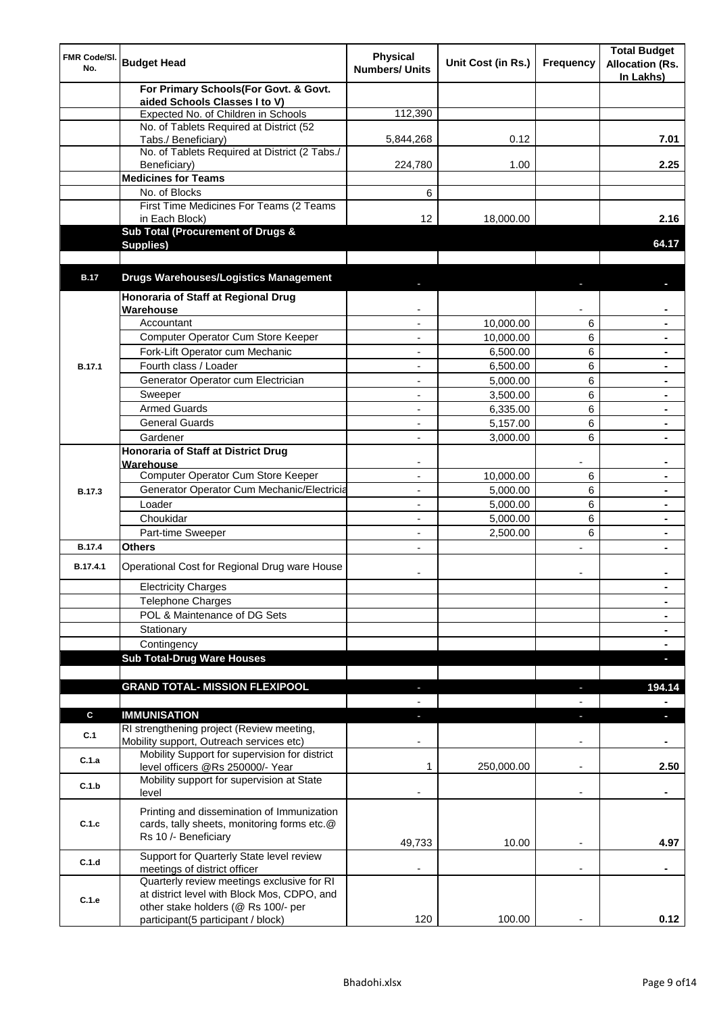| FMR Code/SI.<br>No. | <b>Budget Head</b>                                                                                                               | <b>Physical</b><br><b>Numbers/ Units</b> | Unit Cost (in Rs.) | <b>Frequency</b>         | <b>Total Budget</b><br><b>Allocation (Rs.</b><br>In Lakhs) |
|---------------------|----------------------------------------------------------------------------------------------------------------------------------|------------------------------------------|--------------------|--------------------------|------------------------------------------------------------|
|                     | For Primary Schools(For Govt. & Govt.                                                                                            |                                          |                    |                          |                                                            |
|                     | aided Schools Classes I to V)<br>Expected No. of Children in Schools                                                             | 112,390                                  |                    |                          |                                                            |
|                     | No. of Tablets Required at District (52                                                                                          |                                          |                    |                          |                                                            |
|                     | Tabs./ Beneficiary)                                                                                                              | 5,844,268                                | 0.12               |                          | 7.01                                                       |
|                     | No. of Tablets Required at District (2 Tabs./                                                                                    |                                          |                    |                          |                                                            |
|                     | Beneficiary)                                                                                                                     | 224,780                                  | 1.00               |                          | 2.25                                                       |
|                     | <b>Medicines for Teams</b>                                                                                                       |                                          |                    |                          |                                                            |
|                     | No. of Blocks                                                                                                                    | 6                                        |                    |                          |                                                            |
|                     | First Time Medicines For Teams (2 Teams                                                                                          |                                          |                    |                          |                                                            |
|                     | in Each Block)<br>Sub Total (Procurement of Drugs &                                                                              | 12                                       | 18,000.00          |                          | 2.16                                                       |
|                     | Supplies)                                                                                                                        |                                          |                    |                          | 64.17                                                      |
|                     |                                                                                                                                  |                                          |                    |                          |                                                            |
| <b>B.17</b>         | <b>Drugs Warehouses/Logistics Management</b>                                                                                     |                                          |                    |                          |                                                            |
|                     | Honoraria of Staff at Regional Drug                                                                                              |                                          |                    |                          |                                                            |
|                     | Warehouse                                                                                                                        |                                          |                    |                          |                                                            |
|                     | Accountant                                                                                                                       |                                          | 10,000.00          | 6                        |                                                            |
|                     | Computer Operator Cum Store Keeper                                                                                               |                                          | 10,000.00          | 6                        |                                                            |
|                     | Fork-Lift Operator cum Mechanic                                                                                                  | ٠                                        | 6,500.00           | 6                        |                                                            |
| <b>B.17.1</b>       | Fourth class / Loader                                                                                                            | $\blacksquare$                           | 6,500.00           | 6                        |                                                            |
|                     | Generator Operator cum Electrician                                                                                               |                                          | 5,000.00           | 6                        | $\blacksquare$                                             |
|                     | Sweeper                                                                                                                          |                                          | 3,500.00           | 6                        |                                                            |
|                     | <b>Armed Guards</b>                                                                                                              |                                          | 6,335.00           | 6                        |                                                            |
|                     | <b>General Guards</b>                                                                                                            |                                          | 5,157.00           | 6                        |                                                            |
|                     | Gardener                                                                                                                         |                                          | 3,000.00           | 6                        |                                                            |
|                     | <b>Honoraria of Staff at District Drug</b><br>Warehouse                                                                          |                                          |                    |                          |                                                            |
|                     | Computer Operator Cum Store Keeper                                                                                               |                                          | 10,000.00          | 6                        |                                                            |
| B.17.3              | Generator Operator Cum Mechanic/Electricia                                                                                       | $\overline{\phantom{a}}$                 | 5,000.00           | 6                        |                                                            |
|                     | Loader                                                                                                                           |                                          | 5,000.00           | 6                        |                                                            |
|                     | Choukidar                                                                                                                        |                                          | 5,000.00           | 6                        |                                                            |
|                     | Part-time Sweeper                                                                                                                | $\overline{\phantom{a}}$                 | 2,500.00           | 6                        | $\blacksquare$                                             |
| <b>B.17.4</b>       | <b>Others</b>                                                                                                                    |                                          |                    |                          |                                                            |
| B.17.4.1            | Operational Cost for Regional Drug ware House                                                                                    |                                          |                    |                          |                                                            |
|                     | <b>Electricity Charges</b>                                                                                                       |                                          |                    |                          | $\blacksquare$                                             |
|                     | <b>Telephone Charges</b>                                                                                                         |                                          |                    |                          | ۰                                                          |
|                     | POL & Maintenance of DG Sets                                                                                                     |                                          |                    |                          | $\blacksquare$                                             |
|                     | Stationary                                                                                                                       |                                          |                    |                          | $\blacksquare$                                             |
|                     | Contingency                                                                                                                      |                                          |                    |                          | $\blacksquare$                                             |
|                     | <b>Sub Total-Drug Ware Houses</b>                                                                                                |                                          |                    |                          | o,                                                         |
|                     |                                                                                                                                  |                                          |                    |                          |                                                            |
|                     | <b>GRAND TOTAL- MISSION FLEXIPOOL</b>                                                                                            | ٠                                        |                    | ٠                        | 194.14                                                     |
|                     |                                                                                                                                  |                                          |                    |                          |                                                            |
| $\mathbf c$         | <b>IMMUNISATION</b><br>RI strengthening project (Review meeting,                                                                 | L.                                       |                    | J                        | ь                                                          |
| C.1                 | Mobility support, Outreach services etc)                                                                                         |                                          |                    | $\overline{\phantom{a}}$ |                                                            |
| C.1.a               | Mobility Support for supervision for district<br>level officers @Rs 250000/- Year                                                | 1                                        | 250,000.00         | $\blacksquare$           | 2.50                                                       |
| C.1.b               | Mobility support for supervision at State<br>level                                                                               |                                          |                    | $\overline{\phantom{a}}$ |                                                            |
| C.1.c               | Printing and dissemination of Immunization<br>cards, tally sheets, monitoring forms etc.@<br>Rs 10 /- Beneficiary                |                                          |                    |                          |                                                            |
|                     |                                                                                                                                  | 49,733                                   | 10.00              |                          | 4.97                                                       |
| C.1.d               | Support for Quarterly State level review<br>meetings of district officer                                                         |                                          |                    | L,                       |                                                            |
| C.1.e               | Quarterly review meetings exclusive for RI<br>at district level with Block Mos, CDPO, and<br>other stake holders (@ Rs 100/- per |                                          |                    |                          |                                                            |
|                     | participant(5 participant / block)                                                                                               | 120                                      | 100.00             |                          | 0.12                                                       |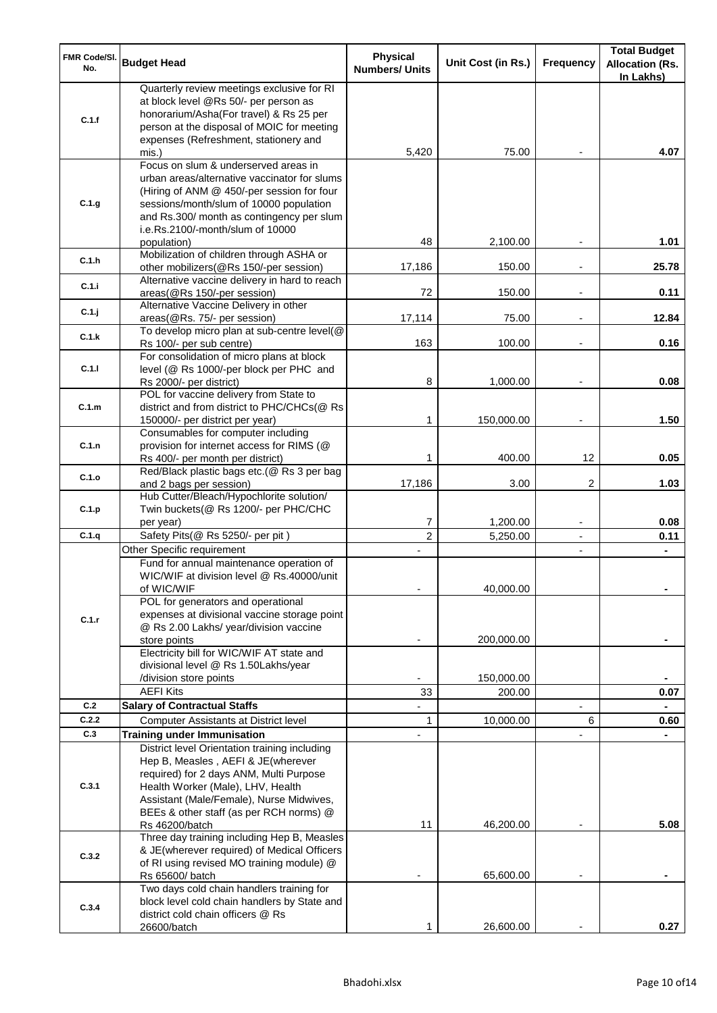| FMR Code/SI.<br>No. | <b>Budget Head</b>                                                                                                                                                                                                                                                            | <b>Physical</b><br><b>Numbers/ Units</b> | Unit Cost (in Rs.) | <b>Frequency</b> | <b>Total Budget</b><br><b>Allocation (Rs.</b><br>In Lakhs) |
|---------------------|-------------------------------------------------------------------------------------------------------------------------------------------------------------------------------------------------------------------------------------------------------------------------------|------------------------------------------|--------------------|------------------|------------------------------------------------------------|
| C.1.f               | Quarterly review meetings exclusive for RI<br>at block level @Rs 50/- per person as<br>honorarium/Asha(For travel) & Rs 25 per<br>person at the disposal of MOIC for meeting<br>expenses (Refreshment, stationery and                                                         |                                          |                    |                  |                                                            |
|                     | mis.)                                                                                                                                                                                                                                                                         | 5,420                                    | 75.00              |                  | 4.07                                                       |
| C.1.g               | Focus on slum & underserved areas in<br>urban areas/alternative vaccinator for slums<br>(Hiring of ANM @ 450/-per session for four<br>sessions/month/slum of 10000 population<br>and Rs.300/ month as contingency per slum<br>i.e.Rs.2100/-month/slum of 10000<br>population) | 48                                       | 2,100.00           |                  | 1.01                                                       |
| C.1.h               | Mobilization of children through ASHA or<br>other mobilizers(@Rs 150/-per session)                                                                                                                                                                                            | 17,186                                   | 150.00             |                  | 25.78                                                      |
| C.1.i               | Alternative vaccine delivery in hard to reach<br>areas(@Rs 150/-per session)                                                                                                                                                                                                  | 72                                       | 150.00             |                  | 0.11                                                       |
| C.1.j               | Alternative Vaccine Delivery in other<br>areas(@Rs. 75/- per session)                                                                                                                                                                                                         | 17,114                                   | 75.00              |                  | 12.84                                                      |
| C.1.k               | To develop micro plan at sub-centre level(@                                                                                                                                                                                                                                   |                                          |                    |                  |                                                            |
|                     | Rs 100/- per sub centre)<br>For consolidation of micro plans at block                                                                                                                                                                                                         | 163                                      | 100.00             |                  | 0.16                                                       |
| C.1.1               | level (@ Rs 1000/-per block per PHC and<br>Rs 2000/- per district)                                                                                                                                                                                                            | 8                                        | 1,000.00           |                  | 0.08                                                       |
| C.1.m               | POL for vaccine delivery from State to<br>district and from district to PHC/CHCs(@ Rs<br>150000/- per district per year)                                                                                                                                                      | $\mathbf 1$                              | 150,000.00         |                  | 1.50                                                       |
| C.1.n               | Consumables for computer including<br>provision for internet access for RIMS (@                                                                                                                                                                                               |                                          |                    |                  |                                                            |
| C.1.o               | Rs 400/- per month per district)<br>Red/Black plastic bags etc.(@ Rs 3 per bag                                                                                                                                                                                                | 1                                        | 400.00             | 12               | 0.05                                                       |
| C.1.p               | and 2 bags per session)<br>Hub Cutter/Bleach/Hypochlorite solution/<br>Twin buckets(@ Rs 1200/- per PHC/CHC                                                                                                                                                                   | 17,186                                   | 3.00               | 2                | 1.03                                                       |
|                     | per year)                                                                                                                                                                                                                                                                     | 7                                        | 1,200.00           | $\blacksquare$   | 0.08                                                       |
| C.1.q               | Safety Pits(@ Rs 5250/- per pit)<br>Other Specific requirement                                                                                                                                                                                                                | $\overline{2}$                           | 5,250.00           | $\blacksquare$   | 0.11                                                       |
|                     | Fund for annual maintenance operation of<br>WIC/WIF at division level @ Rs.40000/unit<br>of WIC/WIF                                                                                                                                                                           | $\overline{\phantom{a}}$                 | 40,000.00          | ۰                | $\blacksquare$                                             |
| C.1.r               | POL for generators and operational<br>expenses at divisional vaccine storage point<br>@ Rs 2.00 Lakhs/ year/division vaccine<br>store points                                                                                                                                  |                                          | 200,000.00         |                  |                                                            |
|                     | Electricity bill for WIC/WIF AT state and<br>divisional level @ Rs 1.50Lakhs/year<br>/division store points                                                                                                                                                                   |                                          | 150,000.00         |                  |                                                            |
|                     | <b>AEFI Kits</b>                                                                                                                                                                                                                                                              | 33                                       | 200.00             |                  | 0.07                                                       |
| C.2                 | <b>Salary of Contractual Staffs</b>                                                                                                                                                                                                                                           |                                          |                    |                  |                                                            |
| C.2.2               | <b>Computer Assistants at District level</b>                                                                                                                                                                                                                                  | $\mathbf 1$                              | 10,000.00          | 6                | 0.60                                                       |
| C.3                 | <b>Training under Immunisation</b>                                                                                                                                                                                                                                            |                                          |                    |                  |                                                            |
| C.3.1               | District level Orientation training including<br>Hep B, Measles, AEFI & JE(wherever<br>required) for 2 days ANM, Multi Purpose<br>Health Worker (Male), LHV, Health<br>Assistant (Male/Female), Nurse Midwives,<br>BEEs & other staff (as per RCH norms) @<br>Rs 46200/batch  | 11                                       | 46,200.00          |                  | 5.08                                                       |
| C.3.2               | Three day training including Hep B, Measles<br>& JE(wherever required) of Medical Officers<br>of RI using revised MO training module) @                                                                                                                                       |                                          |                    |                  |                                                            |
|                     | Rs 65600/ batch<br>Two days cold chain handlers training for                                                                                                                                                                                                                  |                                          | 65,600.00          |                  |                                                            |
| C.3.4               | block level cold chain handlers by State and<br>district cold chain officers @ Rs                                                                                                                                                                                             |                                          |                    |                  |                                                            |
|                     | 26600/batch                                                                                                                                                                                                                                                                   | 1                                        | 26,600.00          |                  | 0.27                                                       |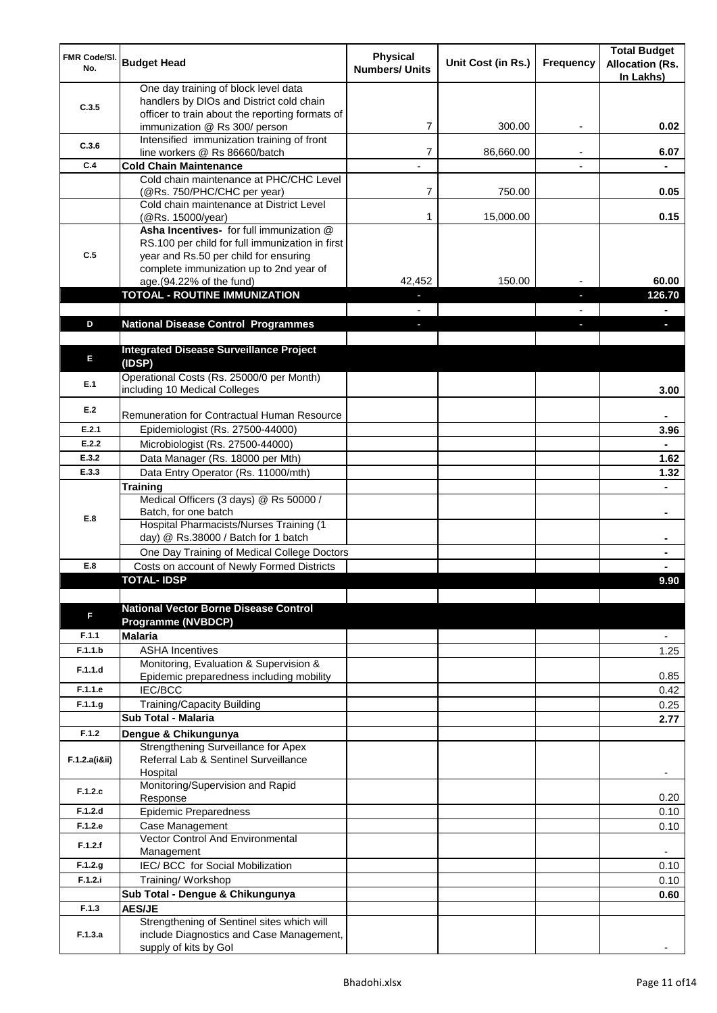| FMR Code/SI.<br>No. | <b>Budget Head</b>                                                               | <b>Physical</b><br><b>Numbers/ Units</b> | Unit Cost (in Rs.) | <b>Frequency</b> | <b>Total Budget</b><br><b>Allocation (Rs.</b><br>In Lakhs) |
|---------------------|----------------------------------------------------------------------------------|------------------------------------------|--------------------|------------------|------------------------------------------------------------|
|                     | One day training of block level data                                             |                                          |                    |                  |                                                            |
| C.3.5               | handlers by DIOs and District cold chain                                         |                                          |                    |                  |                                                            |
|                     | officer to train about the reporting formats of<br>immunization @ Rs 300/ person | $\overline{7}$                           | 300.00             |                  | 0.02                                                       |
|                     | Intensified immunization training of front                                       |                                          |                    |                  |                                                            |
| C.3.6               | line workers @ Rs 86660/batch                                                    | $\overline{7}$                           | 86,660.00          |                  | 6.07                                                       |
| C.4                 | <b>Cold Chain Maintenance</b>                                                    |                                          |                    |                  |                                                            |
|                     | Cold chain maintenance at PHC/CHC Level                                          |                                          |                    |                  |                                                            |
|                     | (@Rs. 750/PHC/CHC per year)<br>Cold chain maintenance at District Level          | $\overline{7}$                           | 750.00             |                  | 0.05                                                       |
|                     | (@Rs. 15000/year)                                                                | $\mathbf{1}$                             | 15,000.00          |                  | 0.15                                                       |
|                     | Asha Incentives- for full immunization @                                         |                                          |                    |                  |                                                            |
|                     | RS.100 per child for full immunization in first                                  |                                          |                    |                  |                                                            |
| C.5                 | year and Rs.50 per child for ensuring                                            |                                          |                    |                  |                                                            |
|                     | complete immunization up to 2nd year of<br>age.(94.22% of the fund)              | 42,452                                   | 150.00             |                  | 60.00                                                      |
|                     | <b>TOTOAL - ROUTINE IMMUNIZATION</b>                                             |                                          |                    |                  | 126.70                                                     |
|                     |                                                                                  |                                          |                    |                  |                                                            |
| D                   | <b>National Disease Control Programmes</b>                                       |                                          |                    |                  |                                                            |
|                     |                                                                                  |                                          |                    |                  |                                                            |
| E                   | <b>Integrated Disease Surveillance Project</b>                                   |                                          |                    |                  |                                                            |
|                     | (IDSP)<br>Operational Costs (Rs. 25000/0 per Month)                              |                                          |                    |                  |                                                            |
| E.1                 | including 10 Medical Colleges                                                    |                                          |                    |                  | 3.00                                                       |
|                     |                                                                                  |                                          |                    |                  |                                                            |
| E.2                 | Remuneration for Contractual Human Resource                                      |                                          |                    |                  |                                                            |
| E.2.1               | Epidemiologist (Rs. 27500-44000)                                                 |                                          |                    |                  | 3.96                                                       |
| E.2.2               | Microbiologist (Rs. 27500-44000)                                                 |                                          |                    |                  |                                                            |
| E.3.2               | Data Manager (Rs. 18000 per Mth)                                                 |                                          |                    |                  | 1.62                                                       |
| E.3.3               | Data Entry Operator (Rs. 11000/mth)                                              |                                          |                    |                  | 1.32                                                       |
|                     | Training                                                                         |                                          |                    |                  |                                                            |
|                     | Medical Officers (3 days) @ Rs 50000 /<br>Batch, for one batch                   |                                          |                    |                  | ٠                                                          |
| E.8                 | Hospital Pharmacists/Nurses Training (1                                          |                                          |                    |                  |                                                            |
|                     | day) @ Rs.38000 / Batch for 1 batch                                              |                                          |                    |                  |                                                            |
|                     | One Day Training of Medical College Doctors                                      |                                          |                    |                  |                                                            |
| E.8                 | Costs on account of Newly Formed Districts                                       |                                          |                    |                  |                                                            |
|                     | TOTAL- IDSP                                                                      |                                          |                    |                  | 9.90                                                       |
|                     | <b>National Vector Borne Disease Control</b>                                     |                                          |                    |                  |                                                            |
| F                   | <b>Programme (NVBDCP)</b>                                                        |                                          |                    |                  |                                                            |
| F.1.1               | <b>Malaria</b>                                                                   |                                          |                    |                  | $\overline{\phantom{a}}$                                   |
| F.1.1.b             | <b>ASHA Incentives</b>                                                           |                                          |                    |                  | 1.25                                                       |
| F.1.1.d             | Monitoring, Evaluation & Supervision &                                           |                                          |                    |                  |                                                            |
|                     | Epidemic preparedness including mobility                                         |                                          |                    |                  | 0.85                                                       |
| F.1.1.e             | IEC/BCC                                                                          |                                          |                    |                  | 0.42                                                       |
| F.1.1.9             | <b>Training/Capacity Building</b><br>Sub Total - Malaria                         |                                          |                    |                  | 0.25                                                       |
| F.1.2               |                                                                                  |                                          |                    |                  | 2.77                                                       |
|                     | Dengue & Chikungunya<br>Strengthening Surveillance for Apex                      |                                          |                    |                  |                                                            |
| F.1.2.a(iⅈ)         | Referral Lab & Sentinel Surveillance                                             |                                          |                    |                  |                                                            |
|                     | Hospital                                                                         |                                          |                    |                  |                                                            |
| F.1.2.c             | Monitoring/Supervision and Rapid                                                 |                                          |                    |                  |                                                            |
|                     | Response                                                                         |                                          |                    |                  | 0.20                                                       |
| F.1.2.d<br>F.1.2.e  | <b>Epidemic Preparedness</b><br>Case Management                                  |                                          |                    |                  | 0.10                                                       |
|                     | <b>Vector Control And Environmental</b>                                          |                                          |                    |                  | 0.10                                                       |
| F.1.2.f             | Management                                                                       |                                          |                    |                  |                                                            |
| F.1.2.g             | IEC/ BCC for Social Mobilization                                                 |                                          |                    |                  | 0.10                                                       |
| F.1.2.i             | Training/Workshop                                                                |                                          |                    |                  | 0.10                                                       |
|                     | Sub Total - Dengue & Chikungunya                                                 |                                          |                    |                  | 0.60                                                       |
| F.1.3               | <b>AES/JE</b>                                                                    |                                          |                    |                  |                                                            |
| F.1.3.a             | Strengthening of Sentinel sites which will                                       |                                          |                    |                  |                                                            |
|                     | include Diagnostics and Case Management,<br>supply of kits by Gol                |                                          |                    |                  |                                                            |
|                     |                                                                                  |                                          |                    |                  |                                                            |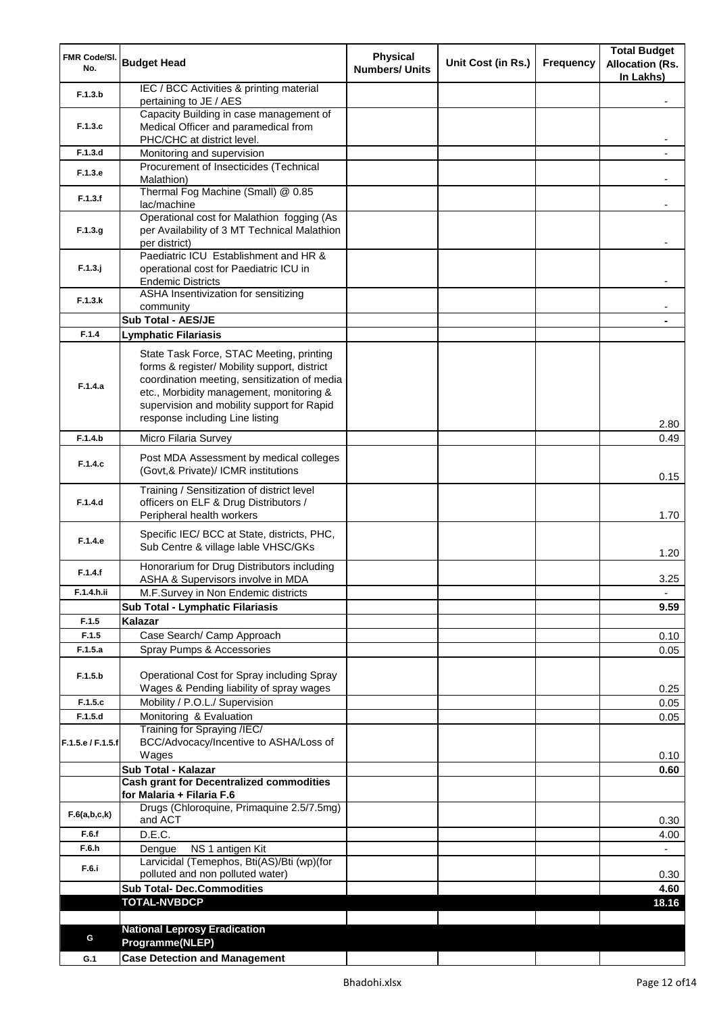| FMR Code/SI.<br>No. | <b>Budget Head</b>                                                                       | <b>Physical</b><br><b>Numbers/ Units</b> | Unit Cost (in Rs.) | <b>Frequency</b> | <b>Total Budget</b><br><b>Allocation (Rs.</b><br>In Lakhs) |
|---------------------|------------------------------------------------------------------------------------------|------------------------------------------|--------------------|------------------|------------------------------------------------------------|
| F.1.3.b             | IEC / BCC Activities & printing material<br>pertaining to JE / AES                       |                                          |                    |                  |                                                            |
|                     | Capacity Building in case management of                                                  |                                          |                    |                  |                                                            |
| F.1.3.c             | Medical Officer and paramedical from                                                     |                                          |                    |                  |                                                            |
| F.1.3.d             | PHC/CHC at district level.<br>Monitoring and supervision                                 |                                          |                    |                  |                                                            |
|                     | Procurement of Insecticides (Technical                                                   |                                          |                    |                  |                                                            |
| F.1.3.e             | Malathion)                                                                               |                                          |                    |                  |                                                            |
| F.1.3.f             | Thermal Fog Machine (Small) @ 0.85<br>lac/machine                                        |                                          |                    |                  |                                                            |
|                     | Operational cost for Malathion fogging (As                                               |                                          |                    |                  |                                                            |
| F.1.3.g             | per Availability of 3 MT Technical Malathion                                             |                                          |                    |                  |                                                            |
|                     | per district)<br>Paediatric ICU Establishment and HR &                                   |                                          |                    |                  |                                                            |
| $F.1.3.$ j          | operational cost for Paediatric ICU in                                                   |                                          |                    |                  |                                                            |
|                     | <b>Endemic Districts</b>                                                                 |                                          |                    |                  |                                                            |
| F.1.3.k             | ASHA Insentivization for sensitizing<br>community                                        |                                          |                    |                  |                                                            |
|                     | Sub Total - AES/JE                                                                       |                                          |                    |                  |                                                            |
| F.1.4               | <b>Lymphatic Filariasis</b>                                                              |                                          |                    |                  |                                                            |
|                     | State Task Force, STAC Meeting, printing                                                 |                                          |                    |                  |                                                            |
|                     | forms & register/ Mobility support, district                                             |                                          |                    |                  |                                                            |
| F.1.4.a             | coordination meeting, sensitization of media<br>etc., Morbidity management, monitoring & |                                          |                    |                  |                                                            |
|                     | supervision and mobility support for Rapid                                               |                                          |                    |                  |                                                            |
|                     | response including Line listing                                                          |                                          |                    |                  | 2.80                                                       |
| F.1.4.b             | Micro Filaria Survey                                                                     |                                          |                    |                  | 0.49                                                       |
| F.1.4.c             | Post MDA Assessment by medical colleges<br>(Govt,& Private)/ ICMR institutions           |                                          |                    |                  |                                                            |
|                     | Training / Sensitization of district level                                               |                                          |                    |                  | 0.15                                                       |
| F.1.4.d             | officers on ELF & Drug Distributors /<br>Peripheral health workers                       |                                          |                    |                  | 1.70                                                       |
|                     |                                                                                          |                                          |                    |                  |                                                            |
| F.1.4.e             | Specific IEC/ BCC at State, districts, PHC,<br>Sub Centre & village lable VHSC/GKs       |                                          |                    |                  | 1.20                                                       |
| F.1.4.f             | Honorarium for Drug Distributors including                                               |                                          |                    |                  |                                                            |
| F.1.4.h.ii          | ASHA & Supervisors involve in MDA<br>M.F.Survey in Non Endemic districts                 |                                          |                    |                  | 3.25                                                       |
|                     | Sub Total - Lymphatic Filariasis                                                         |                                          |                    |                  | 9.59                                                       |
| F.1.5               | Kalazar                                                                                  |                                          |                    |                  |                                                            |
| F.1.5               | Case Search/ Camp Approach                                                               |                                          |                    |                  | 0.10                                                       |
| F.1.5.a             | Spray Pumps & Accessories                                                                |                                          |                    |                  | 0.05                                                       |
| F.1.5.b             | Operational Cost for Spray including Spray                                               |                                          |                    |                  |                                                            |
|                     | Wages & Pending liability of spray wages                                                 |                                          |                    |                  | 0.25                                                       |
| F.1.5.c             | Mobility / P.O.L./ Supervision                                                           |                                          |                    |                  | 0.05                                                       |
| F.1.5.d             | Monitoring & Evaluation<br>Training for Spraying /IEC/                                   |                                          |                    |                  | 0.05                                                       |
| F.1.5.e / F.1.5.f   | BCC/Advocacy/Incentive to ASHA/Loss of                                                   |                                          |                    |                  |                                                            |
|                     | Wages                                                                                    |                                          |                    |                  | 0.10                                                       |
|                     | Sub Total - Kalazar<br><b>Cash grant for Decentralized commodities</b>                   |                                          |                    |                  | 0.60                                                       |
|                     | for Malaria + Filaria F.6                                                                |                                          |                    |                  |                                                            |
| F.6(a,b,c,k)        | Drugs (Chloroquine, Primaquine 2.5/7.5mg)                                                |                                          |                    |                  |                                                            |
|                     | and ACT                                                                                  |                                          |                    |                  | 0.30                                                       |
| F.6.f<br>F.6.h      | D.E.C.<br>NS 1 antigen Kit<br>Dengue                                                     |                                          |                    |                  | 4.00                                                       |
|                     | Larvicidal (Temephos, Bti(AS)/Bti (wp)(for                                               |                                          |                    |                  |                                                            |
| F.6.i               | polluted and non polluted water)                                                         |                                          |                    |                  | 0.30                                                       |
|                     | <b>Sub Total- Dec.Commodities</b>                                                        |                                          |                    |                  | 4.60                                                       |
|                     | <b>TOTAL-NVBDCP</b>                                                                      |                                          |                    |                  | 18.16                                                      |
|                     | <b>National Leprosy Eradication</b>                                                      |                                          |                    |                  |                                                            |
| G                   | Programme(NLEP)                                                                          |                                          |                    |                  |                                                            |
| G.1                 | <b>Case Detection and Management</b>                                                     |                                          |                    |                  |                                                            |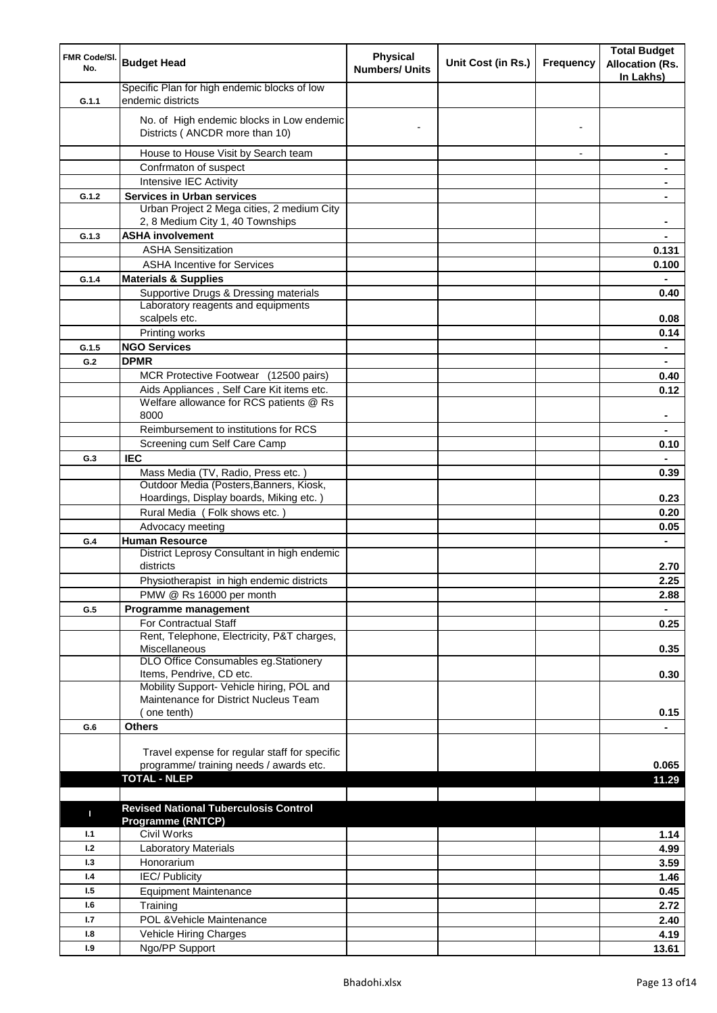| FMR Code/SI.<br>No. | <b>Budget Head</b>                                                                 | <b>Physical</b><br><b>Numbers/ Units</b> | Unit Cost (in Rs.) | <b>Frequency</b> | <b>Total Budget</b><br><b>Allocation (Rs.</b><br>In Lakhs) |
|---------------------|------------------------------------------------------------------------------------|------------------------------------------|--------------------|------------------|------------------------------------------------------------|
| G.1.1               | Specific Plan for high endemic blocks of low<br>endemic districts                  |                                          |                    |                  |                                                            |
|                     | No. of High endemic blocks in Low endemic<br>Districts (ANCDR more than 10)        |                                          |                    |                  |                                                            |
|                     | House to House Visit by Search team                                                |                                          |                    | $\frac{1}{2}$    | $\blacksquare$                                             |
|                     | Confrmaton of suspect                                                              |                                          |                    |                  | ٠                                                          |
|                     | Intensive IEC Activity                                                             |                                          |                    |                  | ۰                                                          |
| G.1.2               | <b>Services in Urban services</b><br>Urban Project 2 Mega cities, 2 medium City    |                                          |                    |                  | ٠                                                          |
|                     | 2, 8 Medium City 1, 40 Townships                                                   |                                          |                    |                  |                                                            |
| G.1.3               | <b>ASHA involvement</b>                                                            |                                          |                    |                  |                                                            |
|                     | <b>ASHA Sensitization</b>                                                          |                                          |                    |                  | 0.131                                                      |
|                     | <b>ASHA Incentive for Services</b>                                                 |                                          |                    |                  | 0.100                                                      |
| G.1.4               | <b>Materials &amp; Supplies</b>                                                    |                                          |                    |                  |                                                            |
|                     | Supportive Drugs & Dressing materials<br>Laboratory reagents and equipments        |                                          |                    |                  | 0.40                                                       |
|                     | scalpels etc.                                                                      |                                          |                    |                  | 0.08                                                       |
|                     | Printing works                                                                     |                                          |                    |                  | 0.14                                                       |
| G.1.5               | <b>NGO Services</b>                                                                |                                          |                    |                  | $\blacksquare$                                             |
| G.2                 | <b>DPMR</b>                                                                        |                                          |                    |                  | $\blacksquare$                                             |
|                     | MCR Protective Footwear (12500 pairs)                                              |                                          |                    |                  | 0.40                                                       |
|                     | Aids Appliances, Self Care Kit items etc.                                          |                                          |                    |                  | 0.12                                                       |
|                     | Welfare allowance for RCS patients @ Rs                                            |                                          |                    |                  |                                                            |
|                     | 8000                                                                               |                                          |                    |                  |                                                            |
|                     | Reimbursement to institutions for RCS                                              |                                          |                    |                  |                                                            |
|                     | Screening cum Self Care Camp                                                       |                                          |                    |                  | 0.10                                                       |
| G.3                 | <b>IEC</b>                                                                         |                                          |                    |                  |                                                            |
|                     | Mass Media (TV, Radio, Press etc.)                                                 |                                          |                    |                  | 0.39                                                       |
|                     | Outdoor Media (Posters, Banners, Kiosk,<br>Hoardings, Display boards, Miking etc.) |                                          |                    |                  | 0.23                                                       |
|                     | Rural Media (Folk shows etc.)                                                      |                                          |                    |                  | 0.20                                                       |
|                     | Advocacy meeting                                                                   |                                          |                    |                  | 0.05                                                       |
| G.4                 | <b>Human Resource</b>                                                              |                                          |                    |                  | $\blacksquare$                                             |
|                     | District Leprosy Consultant in high endemic                                        |                                          |                    |                  |                                                            |
|                     | districts                                                                          |                                          |                    |                  | 2.70                                                       |
|                     | Physiotherapist in high endemic districts                                          |                                          |                    |                  | 2.25                                                       |
|                     | PMW @ Rs 16000 per month                                                           |                                          |                    |                  | 2.88                                                       |
| G.5                 | Programme management                                                               |                                          |                    |                  | $\sim$                                                     |
|                     | For Contractual Staff                                                              |                                          |                    |                  | 0.25                                                       |
|                     | Rent, Telephone, Electricity, P&T charges,<br>Miscellaneous                        |                                          |                    |                  | 0.35                                                       |
|                     | DLO Office Consumables eg.Stationery                                               |                                          |                    |                  |                                                            |
|                     | Items, Pendrive, CD etc.<br>Mobility Support- Vehicle hiring, POL and              |                                          |                    |                  | 0.30                                                       |
|                     | Maintenance for District Nucleus Team                                              |                                          |                    |                  |                                                            |
|                     | (one tenth)                                                                        |                                          |                    |                  | 0.15                                                       |
| G.6                 | <b>Others</b>                                                                      |                                          |                    |                  |                                                            |
|                     |                                                                                    |                                          |                    |                  |                                                            |
|                     | Travel expense for regular staff for specific                                      |                                          |                    |                  |                                                            |
|                     | programme/ training needs / awards etc.                                            |                                          |                    |                  | 0.065                                                      |
|                     | <b>TOTAL - NLEP</b>                                                                |                                          |                    |                  | 11.29                                                      |
|                     | <b>Revised National Tuberculosis Control</b>                                       |                                          |                    |                  |                                                            |
| п                   | <b>Programme (RNTCP)</b>                                                           |                                          |                    |                  |                                                            |
| 1.1                 | Civil Works                                                                        |                                          |                    |                  | 1.14                                                       |
| 1.2                 | Laboratory Materials                                                               |                                          |                    |                  | 4.99                                                       |
| 1.3                 | Honorarium                                                                         |                                          |                    |                  | 3.59                                                       |
| 1.4                 | <b>IEC/ Publicity</b>                                                              |                                          |                    |                  | 1.46                                                       |
| 1.5                 | <b>Equipment Maintenance</b>                                                       |                                          |                    |                  | 0.45                                                       |
| 1.6                 | Training                                                                           |                                          |                    |                  | 2.72                                                       |
| 1.7                 | POL & Vehicle Maintenance                                                          |                                          |                    |                  | 2.40                                                       |
| 1.8                 | Vehicle Hiring Charges                                                             |                                          |                    |                  | 4.19                                                       |
| 1.9                 | Ngo/PP Support                                                                     |                                          |                    |                  | 13.61                                                      |